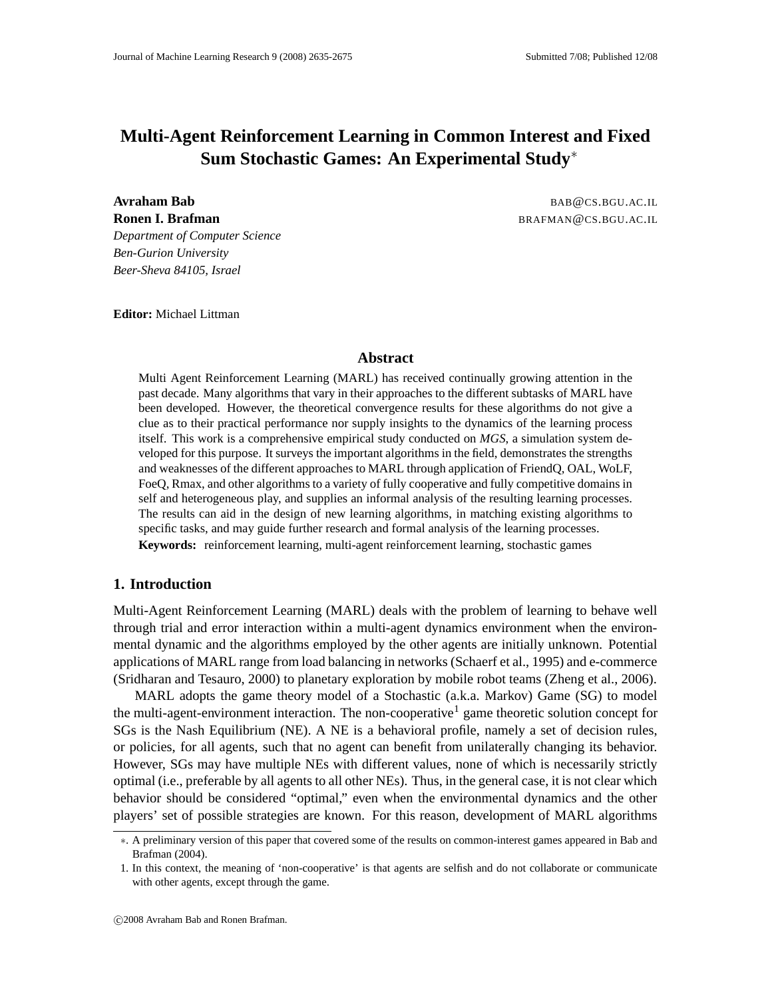# **Multi-Agent Reinforcement Learning in Common Interest and Fixed Sum Stochastic Games: An Experimental Study**<sup>∗</sup>

**Avraham Bab** BAB@CS.BGU.AC.IL **Ronen I. Brafman** BRAFMAN@CS.BGU.AC.IL

*Department of Computer Science Ben-Gurion University Beer-Sheva 84105, Israel*

**Editor:** Michael Littman

## **Abstract**

Multi Agent Reinforcement Learning (MARL) has received continually growing attention in the past decade. Many algorithms that vary in their approaches to the different subtasks of MARL have been developed. However, the theoretical convergence results for these algorithms do not give a clue as to their practical performance nor supply insights to the dynamics of the learning process itself. This work is a comprehensive empirical study conducted on *MGS*, a simulation system developed for this purpose. It surveys the important algorithms in the field, demonstrates the strengths and weaknesses of the different approaches to MARL through application of FriendQ, OAL, WoLF, FoeQ, Rmax, and other algorithms to a variety of fully cooperative and fully competitive domains in self and heterogeneous play, and supplies an informal analysis of the resulting learning processes. The results can aid in the design of new learning algorithms, in matching existing algorithms to specific tasks, and may guide further research and formal analysis of the learning processes. **Keywords:** reinforcement learning, multi-agent reinforcement learning, stochastic games

## **1. Introduction**

Multi-Agent Reinforcement Learning (MARL) deals with the problem of learning to behave well through trial and error interaction within a multi-agent dynamics environment when the environmental dynamic and the algorithms employed by the other agents are initially unknown. Potential applications of MARL range from load balancing in networks (Schaerf et al., 1995) and e-commerce (Sridharan and Tesauro, 2000) to planetary exploration by mobile robot teams (Zheng et al., 2006).

MARL adopts the game theory model of a Stochastic (a.k.a. Markov) Game (SG) to model the multi-agent-environment interaction. The non-cooperative<sup>1</sup> game theoretic solution concept for SGs is the Nash Equilibrium (NE). A NE is a behavioral profile, namely a set of decision rules, or policies, for all agents, such that no agent can benefit from unilaterally changing its behavior. However, SGs may have multiple NEs with different values, none of which is necessarily strictly optimal (i.e., preferable by all agents to all other NEs). Thus, in the general case, it is not clear which behavior should be considered "optimal," even when the environmental dynamics and the other players' set of possible strategies are known. For this reason, development of MARL algorithms

<sup>∗</sup>. A preliminary version of this paper that covered some of the results on common-interest games appeared in Bab and Brafman (2004).

<sup>1.</sup> In this context, the meaning of 'non-cooperative' is that agents are selfish and do not collaborate or communicate with other agents, except through the game.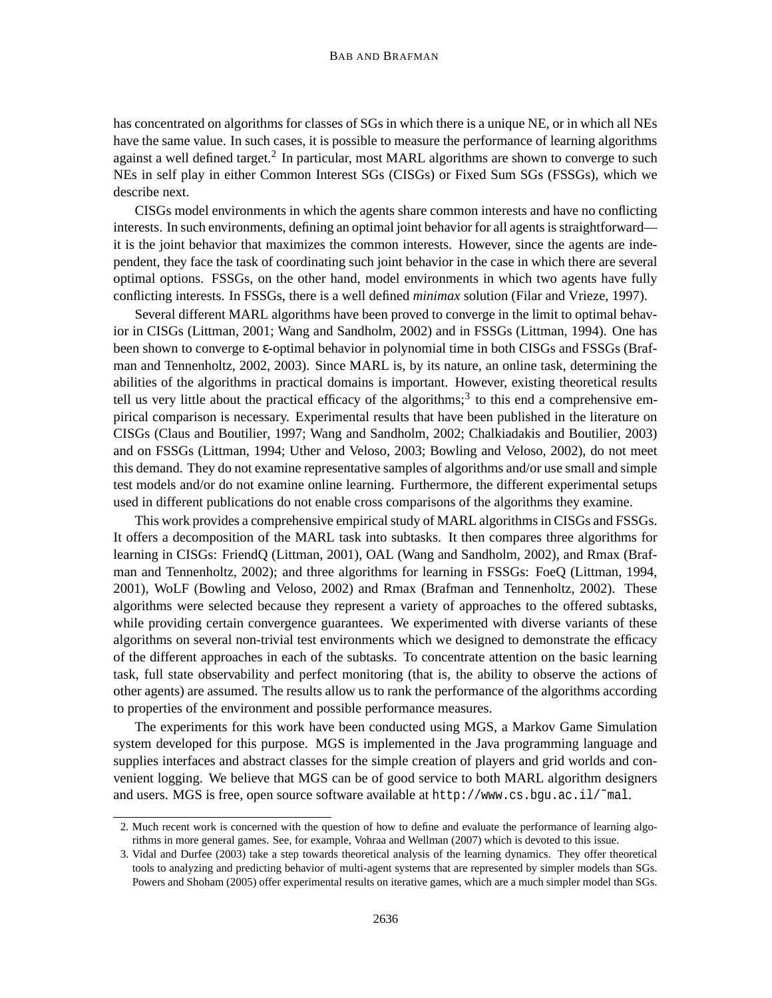has concentrated on algorithms for classes of SGs in which there is a unique NE, or in which all NEs have the same value. In such cases, it is possible to measure the performance of learning algorithms against a well defined target.<sup>2</sup> In particular, most MARL algorithms are shown to converge to such NEs in self play in either Common Interest SGs (CISGs) or Fixed Sum SGs (FSSGs), which we describe next.

CISGs model environments in which the agents share common interests and have no conflicting interests. In such environments, defining an optimal joint behavior for all agents is straightforward it is the joint behavior that maximizes the common interests. However, since the agents are independent, they face the task of coordinating such joint behavior in the case in which there are several optimal options. FSSGs, on the other hand, model environments in which two agents have fully conflicting interests. In FSSGs, there is a well defined *minimax* solution (Filar and Vrieze, 1997).

Several different MARL algorithms have been proved to converge in the limit to optimal behavior in CISGs (Littman, 2001; Wang and Sandholm, 2002) and in FSSGs (Littman, 1994). One has been shown to converge to ε-optimal behavior in polynomial time in both CISGs and FSSGs (Brafman and Tennenholtz, 2002, 2003). Since MARL is, by its nature, an online task, determining the abilities of the algorithms in practical domains is important. However, existing theoretical results tell us very little about the practical efficacy of the algorithms;<sup>3</sup> to this end a comprehensive empirical comparison is necessary. Experimental results that have been published in the literature on CISGs (Claus and Boutilier, 1997; Wang and Sandholm, 2002; Chalkiadakis and Boutilier, 2003) and on FSSGs (Littman, 1994; Uther and Veloso, 2003; Bowling and Veloso, 2002), do not meet this demand. They do not examine representative samples of algorithms and/or use small and simple test models and/or do not examine online learning. Furthermore, the different experimental setups used in different publications do not enable cross comparisons of the algorithms they examine.

This work provides a comprehensive empirical study of MARL algorithms in CISGs and FSSGs. It offers a decomposition of the MARL task into subtasks. It then compares three algorithms for learning in CISGs: FriendQ (Littman, 2001), OAL (Wang and Sandholm, 2002), and Rmax (Brafman and Tennenholtz, 2002); and three algorithms for learning in FSSGs: FoeQ (Littman, 1994, 2001), WoLF (Bowling and Veloso, 2002) and Rmax (Brafman and Tennenholtz, 2002). These algorithms were selected because they represent a variety of approaches to the offered subtasks, while providing certain convergence guarantees. We experimented with diverse variants of these algorithms on several non-trivial test environments which we designed to demonstrate the efficacy of the different approaches in each of the subtasks. To concentrate attention on the basic learning task, full state observability and perfect monitoring (that is, the ability to observe the actions of other agents) are assumed. The results allow us to rank the performance of the algorithms according to properties of the environment and possible performance measures.

The experiments for this work have been conducted using MGS, a Markov Game Simulation system developed for this purpose. MGS is implemented in the Java programming language and supplies interfaces and abstract classes for the simple creation of players and grid worlds and convenient logging. We believe that MGS can be of good service to both MARL algorithm designers and users. MGS is free, open source software available at http://www.cs.bgu.ac.il/˜mal.

<sup>2.</sup> Much recent work is concerned with the question of how to define and evaluate the performance of learning algorithms in more general games. See, for example, Vohraa and Wellman (2007) which is devoted to this issue.

<sup>3.</sup> Vidal and Durfee (2003) take a step towards theoretical analysis of the learning dynamics. They offer theoretical tools to analyzing and predicting behavior of multi-agent systems that are represented by simpler models than SGs. Powers and Shoham (2005) offer experimental results on iterative games, which are a much simpler model than SGs.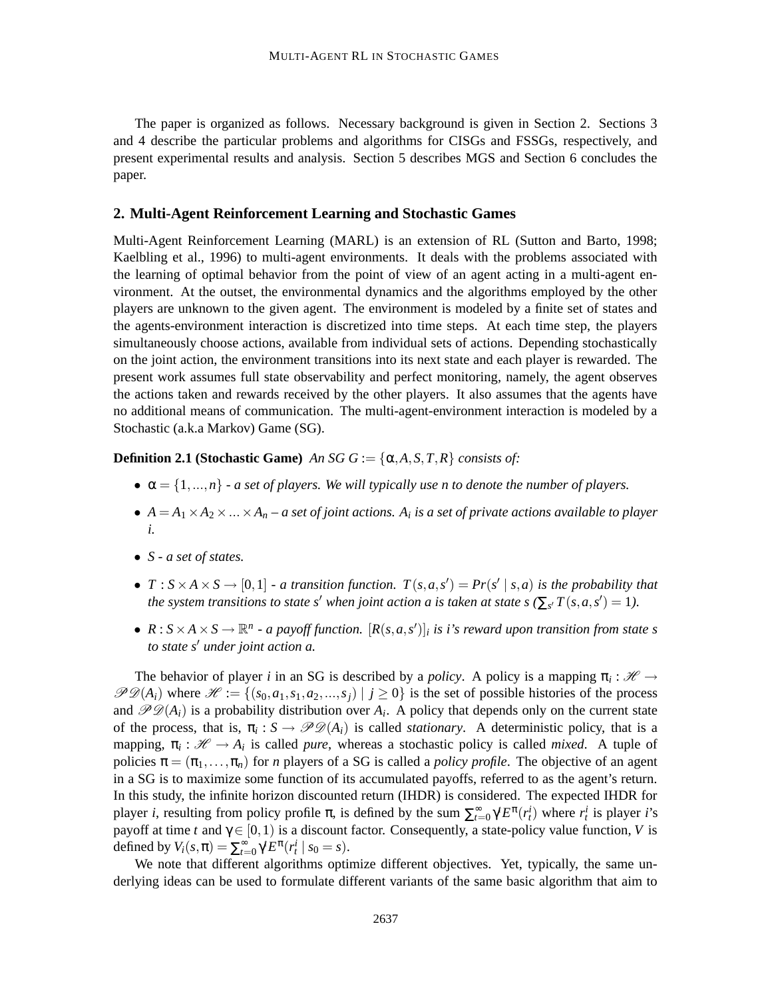The paper is organized as follows. Necessary background is given in Section 2. Sections 3 and 4 describe the particular problems and algorithms for CISGs and FSSGs, respectively, and present experimental results and analysis. Section 5 describes MGS and Section 6 concludes the paper.

## **2. Multi-Agent Reinforcement Learning and Stochastic Games**

Multi-Agent Reinforcement Learning (MARL) is an extension of RL (Sutton and Barto, 1998; Kaelbling et al., 1996) to multi-agent environments. It deals with the problems associated with the learning of optimal behavior from the point of view of an agent acting in a multi-agent environment. At the outset, the environmental dynamics and the algorithms employed by the other players are unknown to the given agent. The environment is modeled by a finite set of states and the agents-environment interaction is discretized into time steps. At each time step, the players simultaneously choose actions, available from individual sets of actions. Depending stochastically on the joint action, the environment transitions into its next state and each player is rewarded. The present work assumes full state observability and perfect monitoring, namely, the agent observes the actions taken and rewards received by the other players. It also assumes that the agents have no additional means of communication. The multi-agent-environment interaction is modeled by a Stochastic (a.k.a Markov) Game (SG).

## **Definition 2.1 (Stochastic Game)** *An SG*  $G := \{\alpha, A, S, T, R\}$  *consists of:*

- $\alpha = \{1, ..., n\}$   *a set of players. We will typically use n to denote the number of players.*
- $A = A_1 \times A_2 \times ... \times A_n$  a set of joint actions.  $A_i$  is a set of private actions available to player *i.*
- *S - a set of states.*
- $T: S \times A \times S \rightarrow [0,1]$  a transition function.  $T(s,a,s') = Pr(s' | s,a)$  is the probability that the system transitions to state s' when joint action a is taken at state s ( $\sum_{s'} T(s, a, s') = 1$ ).
- $R: S \times A \times S \to \mathbb{R}^n$  a payoff function.  $[R(s, a, s')]_i$  is i's reward upon transition from state s *to state s* <sup>0</sup> *under joint action a.*

The behavior of player *i* in an SG is described by a *policy*. A policy is a mapping  $\pi_i : \mathcal{H} \to$  $\mathscr{PD}(A_i)$  where  $\mathscr{H} := \{(s_0, a_1, s_1, a_2, ..., s_i) \mid i \geq 0\}$  is the set of possible histories of the process and  $\mathscr{PD}(A_i)$  is a probability distribution over  $A_i$ . A policy that depends only on the current state of the process, that is,  $\pi_i : S \to \mathcal{PD}(A_i)$  is called *stationary*. A deterministic policy, that is a mapping,  $\pi_i : \mathcal{H} \to A_i$  is called *pure*, whereas a stochastic policy is called *mixed*. A tuple of policies  $\pi = (\pi_1, \ldots, \pi_n)$  for *n* players of a SG is called a *policy profile*. The objective of an agent in a SG is to maximize some function of its accumulated payoffs, referred to as the agent's return. In this study, the infinite horizon discounted return (IHDR) is considered. The expected IHDR for player *i*, resulting from policy profile  $\pi$ , is defined by the sum  $\sum_{t=0}^{\infty} \gamma^t E^{\pi}(r_t^i)$  where  $r_t^i$  is player *i*'s payoff at time *t* and  $\gamma \in [0,1)$  is a discount factor. Consequently, a state-policy value function, *V* is defined by  $V_i(s, \pi) = \sum_{t=0}^{\infty} \gamma^t E^{\pi}(r_i^i \mid s_0 = s)$ .

We note that different algorithms optimize different objectives. Yet, typically, the same underlying ideas can be used to formulate different variants of the same basic algorithm that aim to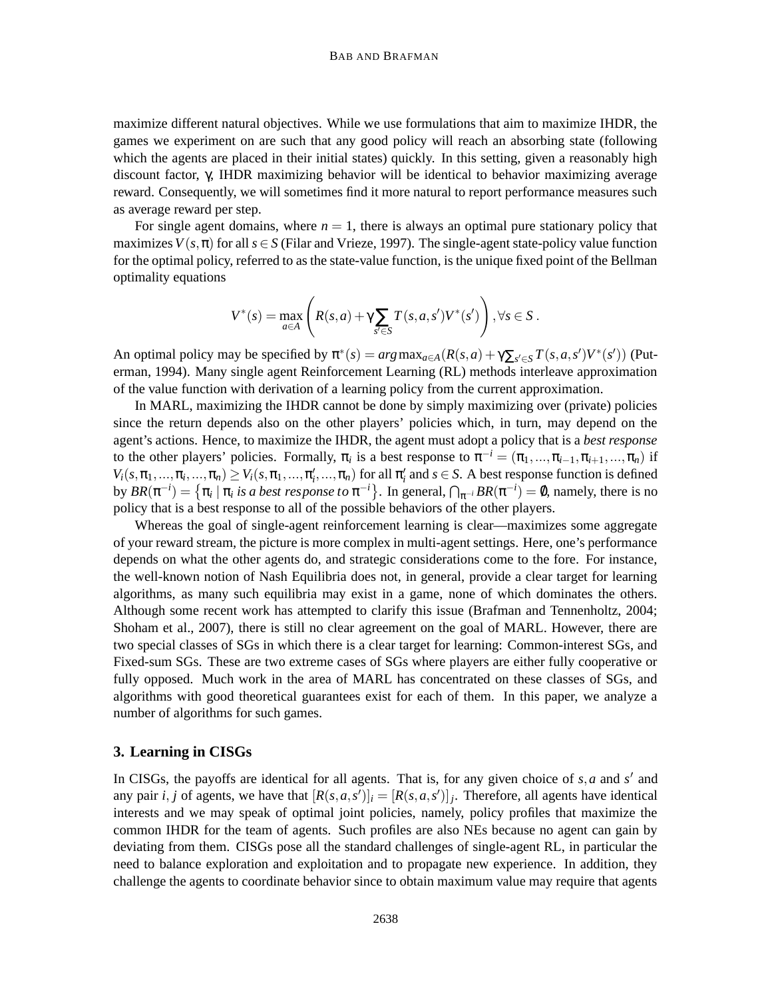#### BAB AND BRAFMAN

maximize different natural objectives. While we use formulations that aim to maximize IHDR, the games we experiment on are such that any good policy will reach an absorbing state (following which the agents are placed in their initial states) quickly. In this setting, given a reasonably high discount factor, γ, IHDR maximizing behavior will be identical to behavior maximizing average reward. Consequently, we will sometimes find it more natural to report performance measures such as average reward per step.

For single agent domains, where  $n = 1$ , there is always an optimal pure stationary policy that maximizes  $V(s, \pi)$  for all  $s \in S$  (Filar and Vrieze, 1997). The single-agent state-policy value function for the optimal policy, referred to as the state-value function, is the unique fixed point of the Bellman optimality equations

$$
V^*(s) = \max_{a \in A} \left( R(s,a) + \gamma \sum_{s' \in S} T(s,a,s')V^*(s') \right), \forall s \in S.
$$

An optimal policy may be specified by  $\pi^*(s) = arg \max_{a \in A} (R(s, a) + \gamma \sum_{s' \in S} T(s, a, s') V^*(s'))$  (Puterman, 1994). Many single agent Reinforcement Learning (RL) methods interleave approximation of the value function with derivation of a learning policy from the current approximation.

In MARL, maximizing the IHDR cannot be done by simply maximizing over (private) policies since the return depends also on the other players' policies which, in turn, may depend on the agent's actions. Hence, to maximize the IHDR, the agent must adopt a policy that is a *best response* to the other players' policies. Formally,  $\pi_i$  is a best response to  $\pi^{-i} = (\pi_1, ..., \pi_{i-1}, \pi_{i+1}, ..., \pi_n)$  if  $V_i(s, \pi_1, \ldots, \pi_i, \ldots, \pi_n) \geq V_i(s, \pi_1, \ldots, \pi_i', \ldots, \pi_n)$  for all  $\pi_i'$  and  $s \in S$ . A best response function is defined by  $BR(\pi^{-i}) = \{\pi_i \mid \pi_i \text{ is a best response to } \pi^{-i}\}.$  In general,  $\bigcap_{\pi^{-i}} BR(\pi^{-i}) = \emptyset$ , namely, there is no policy that is a best response to all of the possible behaviors of the other players.

Whereas the goal of single-agent reinforcement learning is clear—maximizes some aggregate of your reward stream, the picture is more complex in multi-agent settings. Here, one's performance depends on what the other agents do, and strategic considerations come to the fore. For instance, the well-known notion of Nash Equilibria does not, in general, provide a clear target for learning algorithms, as many such equilibria may exist in a game, none of which dominates the others. Although some recent work has attempted to clarify this issue (Brafman and Tennenholtz, 2004; Shoham et al., 2007), there is still no clear agreement on the goal of MARL. However, there are two special classes of SGs in which there is a clear target for learning: Common-interest SGs, and Fixed-sum SGs. These are two extreme cases of SGs where players are either fully cooperative or fully opposed. Much work in the area of MARL has concentrated on these classes of SGs, and algorithms with good theoretical guarantees exist for each of them. In this paper, we analyze a number of algorithms for such games.

## **3. Learning in CISGs**

In CISGs, the payoffs are identical for all agents. That is, for any given choice of  $s$ ,  $a$  and  $s'$  and any pair *i*, *j* of agents, we have that  $[R(s, a, s')]_i = [R(s, a, s')]_j$ . Therefore, all agents have identical interests and we may speak of optimal joint policies, namely, policy profiles that maximize the common IHDR for the team of agents. Such profiles are also NEs because no agent can gain by deviating from them. CISGs pose all the standard challenges of single-agent RL, in particular the need to balance exploration and exploitation and to propagate new experience. In addition, they challenge the agents to coordinate behavior since to obtain maximum value may require that agents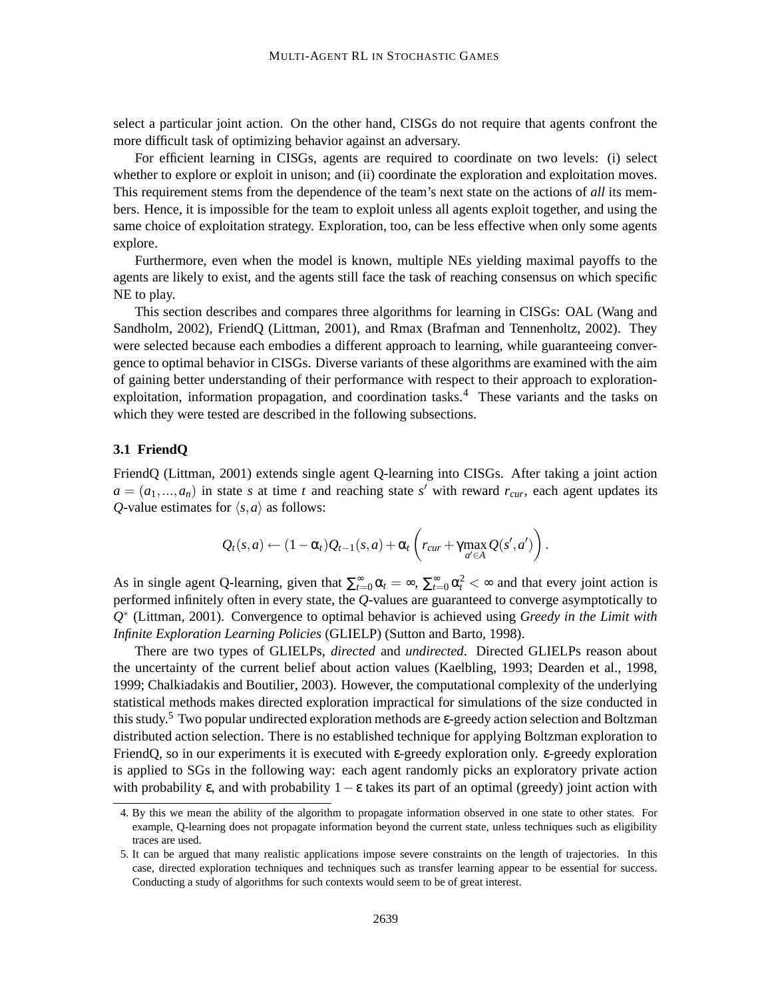select a particular joint action. On the other hand, CISGs do not require that agents confront the more difficult task of optimizing behavior against an adversary.

For efficient learning in CISGs, agents are required to coordinate on two levels: (i) select whether to explore or exploit in unison; and (ii) coordinate the exploration and exploitation moves. This requirement stems from the dependence of the team's next state on the actions of *all* its members. Hence, it is impossible for the team to exploit unless all agents exploit together, and using the same choice of exploitation strategy. Exploration, too, can be less effective when only some agents explore.

Furthermore, even when the model is known, multiple NEs yielding maximal payoffs to the agents are likely to exist, and the agents still face the task of reaching consensus on which specific NE to play.

This section describes and compares three algorithms for learning in CISGs: OAL (Wang and Sandholm, 2002), FriendQ (Littman, 2001), and Rmax (Brafman and Tennenholtz, 2002). They were selected because each embodies a different approach to learning, while guaranteeing convergence to optimal behavior in CISGs. Diverse variants of these algorithms are examined with the aim of gaining better understanding of their performance with respect to their approach to explorationexploitation, information propagation, and coordination tasks.<sup>4</sup> These variants and the tasks on which they were tested are described in the following subsections.

## **3.1 FriendQ**

FriendQ (Littman, 2001) extends single agent Q-learning into CISGs. After taking a joint action  $a = (a_1, \ldots, a_n)$  in state *s* at time *t* and reaching state *s*' with reward  $r_{cur}$ , each agent updates its *Q*-value estimates for  $\langle s, a \rangle$  as follows:

$$
Q_t(s,a) \leftarrow (1-\alpha_t)Q_{t-1}(s,a) + \alpha_t \left(r_{cur} + \gamma \max_{a' \in A} Q(s',a')\right).
$$

As in single agent Q-learning, given that  $\sum_{t=0}^{\infty} \alpha_t = \infty$ ,  $\sum_{t=0}^{\infty} \alpha_t^2 < \infty$  and that every joint action is performed infinitely often in every state, the *Q*-values are guaranteed to converge asymptotically to *Q* ∗ (Littman, 2001). Convergence to optimal behavior is achieved using *Greedy in the Limit with Infinite Exploration Learning Policies* (GLIELP) (Sutton and Barto, 1998).

There are two types of GLIELPs, *directed* and *undirected*. Directed GLIELPs reason about the uncertainty of the current belief about action values (Kaelbling, 1993; Dearden et al., 1998, 1999; Chalkiadakis and Boutilier, 2003). However, the computational complexity of the underlying statistical methods makes directed exploration impractical for simulations of the size conducted in this study.<sup>5</sup> Two popular undirected exploration methods are  $\varepsilon$ -greedy action selection and Boltzman distributed action selection. There is no established technique for applying Boltzman exploration to FriendQ, so in our experiments it is executed with ε-greedy exploration only. ε-greedy exploration is applied to SGs in the following way: each agent randomly picks an exploratory private action with probability  $\varepsilon$ , and with probability  $1-\varepsilon$  takes its part of an optimal (greedy) joint action with

<sup>4.</sup> By this we mean the ability of the algorithm to propagate information observed in one state to other states. For example, Q-learning does not propagate information beyond the current state, unless techniques such as eligibility traces are used.

<sup>5.</sup> It can be argued that many realistic applications impose severe constraints on the length of trajectories. In this case, directed exploration techniques and techniques such as transfer learning appear to be essential for success. Conducting a study of algorithms for such contexts would seem to be of great interest.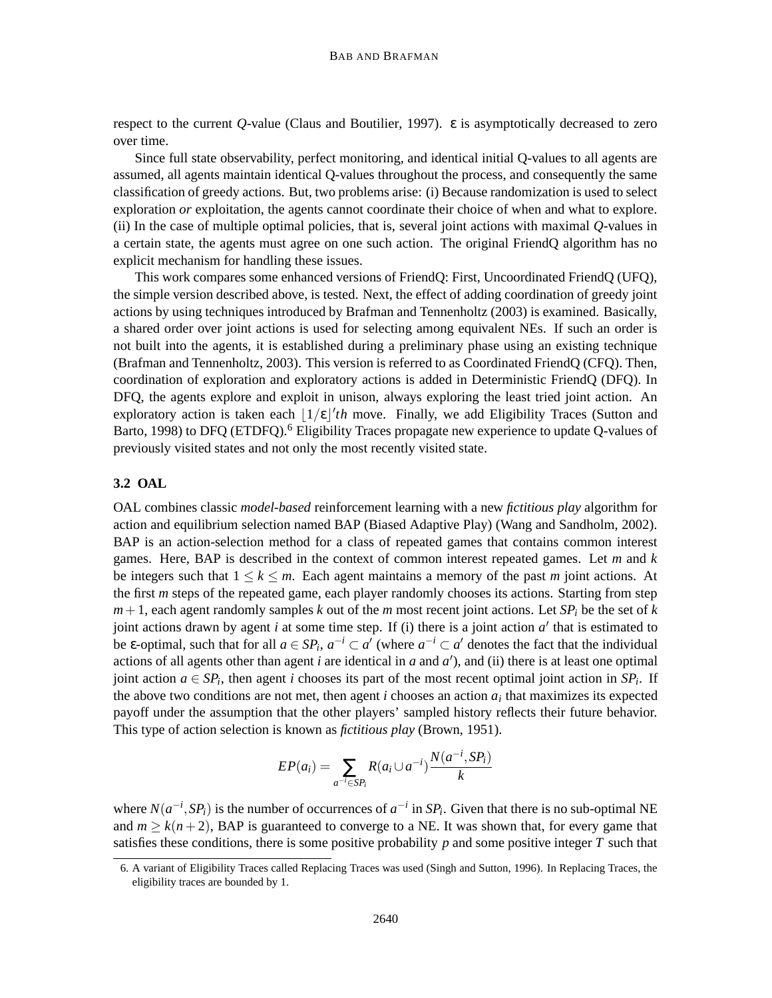respect to the current *Q*-value (Claus and Boutilier, 1997). ε is asymptotically decreased to zero over time.

Since full state observability, perfect monitoring, and identical initial Q-values to all agents are assumed, all agents maintain identical Q-values throughout the process, and consequently the same classification of greedy actions. But, two problems arise: (i) Because randomization is used to select exploration *or* exploitation, the agents cannot coordinate their choice of when and what to explore. (ii) In the case of multiple optimal policies, that is, several joint actions with maximal *Q*-values in a certain state, the agents must agree on one such action. The original FriendQ algorithm has no explicit mechanism for handling these issues.

This work compares some enhanced versions of FriendQ: First, Uncoordinated FriendQ (UFQ), the simple version described above, is tested. Next, the effect of adding coordination of greedy joint actions by using techniques introduced by Brafman and Tennenholtz (2003) is examined. Basically, a shared order over joint actions is used for selecting among equivalent NEs. If such an order is not built into the agents, it is established during a preliminary phase using an existing technique (Brafman and Tennenholtz, 2003). This version is referred to as Coordinated FriendQ (CFQ). Then, coordination of exploration and exploratory actions is added in Deterministic FriendQ (DFQ). In DFQ, the agents explore and exploit in unison, always exploring the least tried joint action. An exploratory action is taken each  $\lfloor 1/\epsilon \rfloor'$ th move. Finally, we add Eligibility Traces (Sutton and Barto, 1998) to DFQ (ETDFQ).<sup>6</sup> Eligibility Traces propagate new experience to update Q-values of previously visited states and not only the most recently visited state.

#### **3.2 OAL**

OAL combines classic *model-based* reinforcement learning with a new *fictitious play* algorithm for action and equilibrium selection named BAP (Biased Adaptive Play) (Wang and Sandholm, 2002). BAP is an action-selection method for a class of repeated games that contains common interest games. Here, BAP is described in the context of common interest repeated games. Let *m* and *k* be integers such that  $1 \leq k \leq m$ . Each agent maintains a memory of the past *m* joint actions. At the first *m* steps of the repeated game, each player randomly chooses its actions. Starting from step  $m+1$ , each agent randomly samples *k* out of the *m* most recent joint actions. Let *SP<sub>i</sub>* be the set of *k* joint actions drawn by agent  $i$  at some time step. If (i) there is a joint action  $a'$  that is estimated to be  $\varepsilon$ -optimal, such that for all  $a \in SP_i$ ,  $a^{-i} \subset a'$  (where  $a^{-i} \subset a'$  denotes the fact that the individual actions of all agents other than agent  $i$  are identical in  $a$  and  $a'$ ), and (ii) there is at least one optimal joint action  $a \in SP_i$ , then agent *i* chooses its part of the most recent optimal joint action in  $SP_i$ . If the above two conditions are not met, then agent  $i$  chooses an action  $a_i$  that maximizes its expected payoff under the assumption that the other players' sampled history reflects their future behavior. This type of action selection is known as *fictitious play* (Brown, 1951).

$$
EP(a_i) = \sum_{a^{-i} \in SP_i} R(a_i \cup a^{-i}) \frac{N(a^{-i}, SP_i)}{k}
$$

where  $N(a^{-i}, SP_i)$  is the number of occurrences of  $a^{-i}$  in  $SP_i$ . Given that there is no sub-optimal NE and  $m \geq k(n+2)$ , BAP is guaranteed to converge to a NE. It was shown that, for every game that satisfies these conditions, there is some positive probability *p* and some positive integer *T* such that

<sup>6.</sup> A variant of Eligibility Traces called Replacing Traces was used (Singh and Sutton, 1996). In Replacing Traces, the eligibility traces are bounded by 1.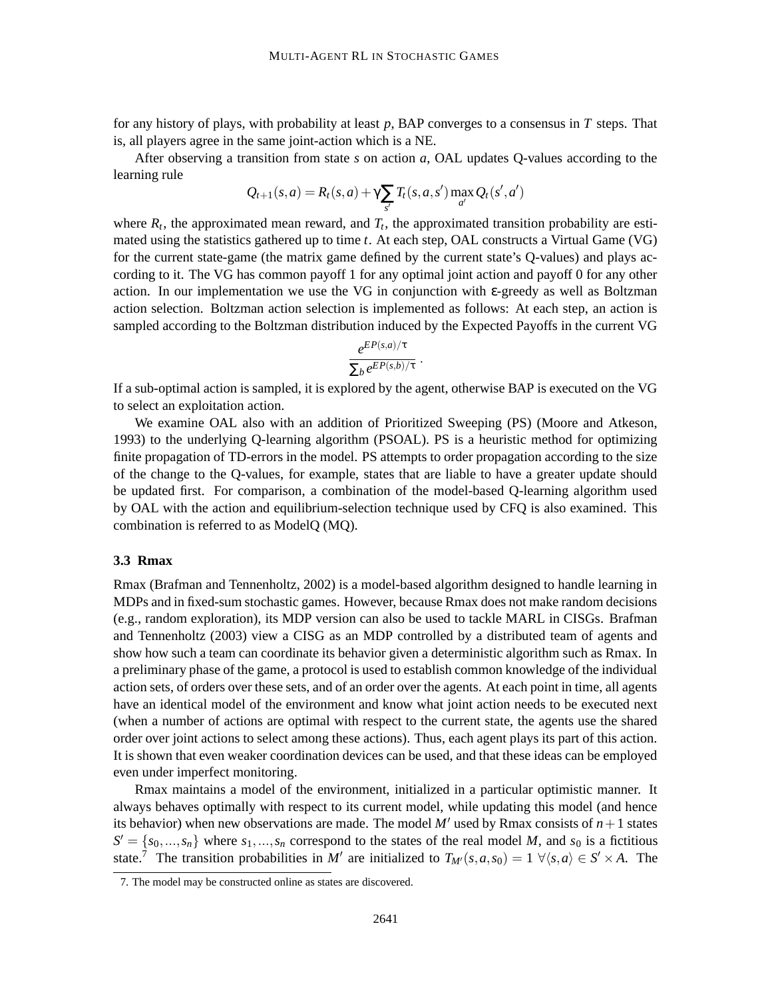for any history of plays, with probability at least *p*, BAP converges to a consensus in *T* steps. That is, all players agree in the same joint-action which is a NE.

After observing a transition from state *s* on action *a*, OAL updates Q-values according to the learning rule

$$
Q_{t+1}(s,a) = R_t(s,a) + \gamma \sum_{s'} T_t(s,a,s') \max_{a'} Q_t(s',a')
$$

where  $R_t$ , the approximated mean reward, and  $T_t$ , the approximated transition probability are estimated using the statistics gathered up to time *t*. At each step, OAL constructs a Virtual Game (VG) for the current state-game (the matrix game defined by the current state's Q-values) and plays according to it. The VG has common payoff 1 for any optimal joint action and payoff 0 for any other action. In our implementation we use the VG in conjunction with ε-greedy as well as Boltzman action selection. Boltzman action selection is implemented as follows: At each step, an action is sampled according to the Boltzman distribution induced by the Expected Payoffs in the current VG

$$
\frac{e^{EP(s,a)/\tau}}{\sum_{b} e^{EP(s,b)/\tau}}.
$$

If a sub-optimal action is sampled, it is explored by the agent, otherwise BAP is executed on the VG to select an exploitation action.

We examine OAL also with an addition of Prioritized Sweeping (PS) (Moore and Atkeson, 1993) to the underlying Q-learning algorithm (PSOAL). PS is a heuristic method for optimizing finite propagation of TD-errors in the model. PS attempts to order propagation according to the size of the change to the Q-values, for example, states that are liable to have a greater update should be updated first. For comparison, a combination of the model-based Q-learning algorithm used by OAL with the action and equilibrium-selection technique used by CFQ is also examined. This combination is referred to as ModelQ (MQ).

## **3.3 Rmax**

Rmax (Brafman and Tennenholtz, 2002) is a model-based algorithm designed to handle learning in MDPs and in fixed-sum stochastic games. However, because Rmax does not make random decisions (e.g., random exploration), its MDP version can also be used to tackle MARL in CISGs. Brafman and Tennenholtz (2003) view a CISG as an MDP controlled by a distributed team of agents and show how such a team can coordinate its behavior given a deterministic algorithm such as Rmax. In a preliminary phase of the game, a protocol is used to establish common knowledge of the individual action sets, of orders over these sets, and of an order over the agents. At each point in time, all agents have an identical model of the environment and know what joint action needs to be executed next (when a number of actions are optimal with respect to the current state, the agents use the shared order over joint actions to select among these actions). Thus, each agent plays its part of this action. It is shown that even weaker coordination devices can be used, and that these ideas can be employed even under imperfect monitoring.

Rmax maintains a model of the environment, initialized in a particular optimistic manner. It always behaves optimally with respect to its current model, while updating this model (and hence its behavior) when new observations are made. The model  $M'$  used by Rmax consists of  $n+1$  states  $S' = \{s_0, ..., s_n\}$  where  $s_1, ..., s_n$  correspond to the states of the real model *M*, and  $s_0$  is a fictitious state.<sup>7</sup> The transition probabilities in *M'* are initialized to  $T_{M'}(s, a, s_0) = 1 \ \forall \langle s, a \rangle \in S' \times A$ . The

<sup>7.</sup> The model may be constructed online as states are discovered.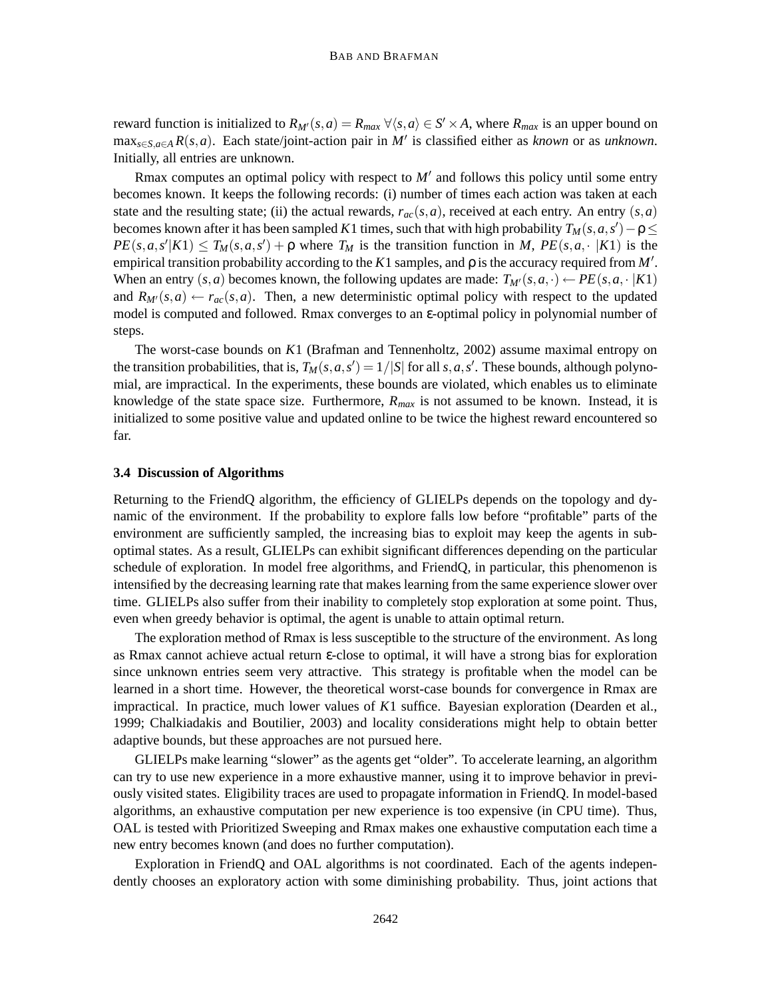reward function is initialized to  $R_{M}(s, a) = R_{max} \ \forall \langle s, a \rangle \in S' \times A$ , where  $R_{max}$  is an upper bound on  $\max_{s \in S, a \in A} R(s, a)$ . Each state/joint-action pair in *M'* is classified either as *known* or as *unknown*. Initially, all entries are unknown.

Rmax computes an optimal policy with respect to  $M'$  and follows this policy until some entry becomes known. It keeps the following records: (i) number of times each action was taken at each state and the resulting state; (ii) the actual rewards,  $r_{ac}(s, a)$ , received at each entry. An entry  $(s, a)$ becomes known after it has been sampled *K*1 times, such that with high probability  $T_M(s, a, s') - \rho \leq$  $PE(s, a, s'|K1) \leq T_M(s, a, s') + \rho$  where  $T_M$  is the transition function in *M*,  $PE(s, a, \cdot |K1)$  is the empirical transition probability according to the  $K1$  samples, and  $\rho$  is the accuracy required from  $M'$ . When an entry  $(s, a)$  becomes known, the following updates are made:  $T_{M}(s, a, \cdot) \leftarrow PE(s, a, \cdot |K1)$ and  $R_{M}(s, a) \leftarrow r_{ac}(s, a)$ . Then, a new deterministic optimal policy with respect to the updated model is computed and followed. Rmax converges to an ε-optimal policy in polynomial number of steps.

The worst-case bounds on *K*1 (Brafman and Tennenholtz, 2002) assume maximal entropy on the transition probabilities, that is,  $T_M(s, a, s') = 1/|S|$  for all  $s, a, s'$ . These bounds, although polynomial, are impractical. In the experiments, these bounds are violated, which enables us to eliminate knowledge of the state space size. Furthermore, *Rmax* is not assumed to be known. Instead, it is initialized to some positive value and updated online to be twice the highest reward encountered so far.

## **3.4 Discussion of Algorithms**

Returning to the FriendQ algorithm, the efficiency of GLIELPs depends on the topology and dynamic of the environment. If the probability to explore falls low before "profitable" parts of the environment are sufficiently sampled, the increasing bias to exploit may keep the agents in suboptimal states. As a result, GLIELPs can exhibit significant differences depending on the particular schedule of exploration. In model free algorithms, and FriendQ, in particular, this phenomenon is intensified by the decreasing learning rate that makes learning from the same experience slower over time. GLIELPs also suffer from their inability to completely stop exploration at some point. Thus, even when greedy behavior is optimal, the agent is unable to attain optimal return.

The exploration method of Rmax is less susceptible to the structure of the environment. As long as Rmax cannot achieve actual return ε-close to optimal, it will have a strong bias for exploration since unknown entries seem very attractive. This strategy is profitable when the model can be learned in a short time. However, the theoretical worst-case bounds for convergence in Rmax are impractical. In practice, much lower values of *K*1 suffice. Bayesian exploration (Dearden et al., 1999; Chalkiadakis and Boutilier, 2003) and locality considerations might help to obtain better adaptive bounds, but these approaches are not pursued here.

GLIELPs make learning "slower" as the agents get "older". To accelerate learning, an algorithm can try to use new experience in a more exhaustive manner, using it to improve behavior in previously visited states. Eligibility traces are used to propagate information in FriendQ. In model-based algorithms, an exhaustive computation per new experience is too expensive (in CPU time). Thus, OAL is tested with Prioritized Sweeping and Rmax makes one exhaustive computation each time a new entry becomes known (and does no further computation).

Exploration in FriendQ and OAL algorithms is not coordinated. Each of the agents independently chooses an exploratory action with some diminishing probability. Thus, joint actions that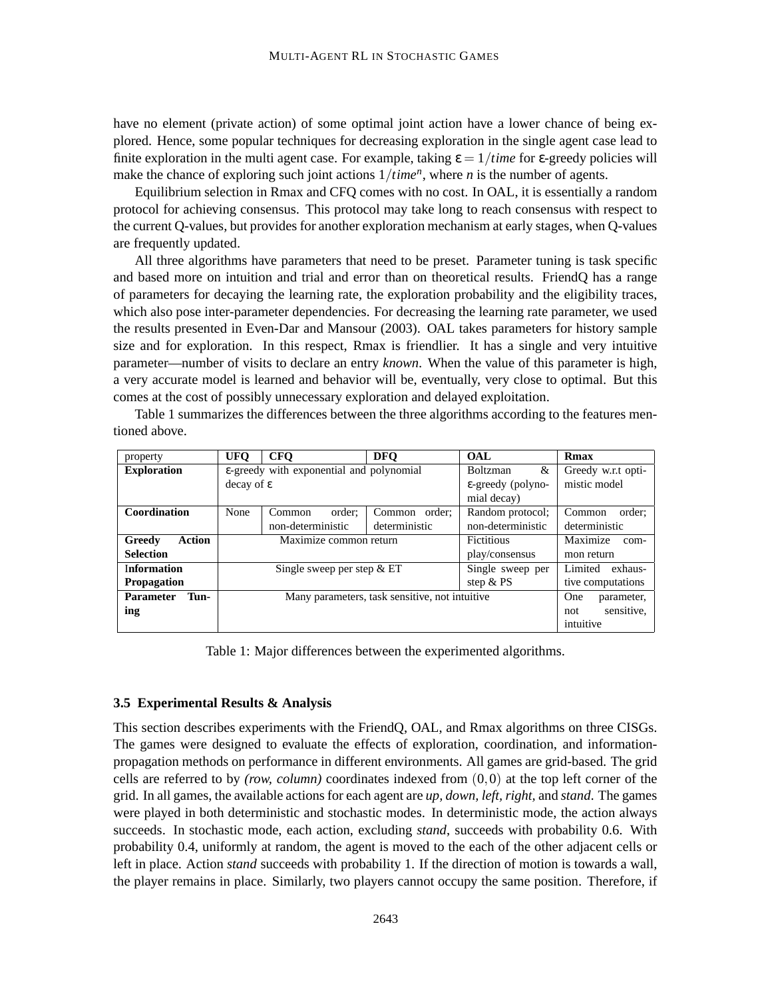have no element (private action) of some optimal joint action have a lower chance of being explored. Hence, some popular techniques for decreasing exploration in the single agent case lead to finite exploration in the multi agent case. For example, taking  $\varepsilon = 1/t$ *ime* for  $\varepsilon$ -greedy policies will make the chance of exploring such joint actions 1/*time<sup>n</sup>* , where *n* is the number of agents.

Equilibrium selection in Rmax and CFQ comes with no cost. In OAL, it is essentially a random protocol for achieving consensus. This protocol may take long to reach consensus with respect to the current Q-values, but provides for another exploration mechanism at early stages, when Q-values are frequently updated.

All three algorithms have parameters that need to be preset. Parameter tuning is task specific and based more on intuition and trial and error than on theoretical results. FriendQ has a range of parameters for decaying the learning rate, the exploration probability and the eligibility traces, which also pose inter-parameter dependencies. For decreasing the learning rate parameter, we used the results presented in Even-Dar and Mansour (2003). OAL takes parameters for history sample size and for exploration. In this respect, Rmax is friendlier. It has a single and very intuitive parameter—number of visits to declare an entry *known*. When the value of this parameter is high, a very accurate model is learned and behavior will be, eventually, very close to optimal. But this comes at the cost of possibly unnecessary exploration and delayed exploitation.

Table 1 summarizes the differences between the three algorithms according to the features mentioned above.

| property                 | <b>UFO</b>             | <b>CFO</b>                               | <b>DFO</b>                                     | <b>OAL</b>         | Rmax               |  |  |  |  |
|--------------------------|------------------------|------------------------------------------|------------------------------------------------|--------------------|--------------------|--|--|--|--|
| <b>Exploration</b>       |                        | ε-greedy with exponential and polynomial | <b>Boltzman</b><br>&                           | Greedy w.r.t opti- |                    |  |  |  |  |
|                          | $decay of \varepsilon$ |                                          | $\epsilon$ -greedy (polyno-                    | mistic model       |                    |  |  |  |  |
|                          |                        |                                          | mial decay)                                    |                    |                    |  |  |  |  |
| Coordination             | None                   | order:<br>Common                         | Common order:                                  | Random protocol;   | order:<br>Common   |  |  |  |  |
|                          |                        | non-deterministic                        | deterministic                                  | non-deterministic  | deterministic      |  |  |  |  |
| Action<br>Greedy         |                        | Maximize common return                   |                                                | <b>Fictitious</b>  | Maximize<br>com-   |  |  |  |  |
| <b>Selection</b>         |                        |                                          |                                                | play/consensus     | mon return         |  |  |  |  |
| <b>Information</b>       |                        | Single sweep per step $&E$ T             |                                                | Single sweep per   | Limited<br>exhaus- |  |  |  |  |
| <b>Propagation</b>       |                        |                                          | step $& PS$                                    | tive computations  |                    |  |  |  |  |
| <b>Parameter</b><br>Tun- |                        |                                          | Many parameters, task sensitive, not intuitive |                    | One<br>parameter,  |  |  |  |  |
| ing                      |                        |                                          |                                                |                    |                    |  |  |  |  |
|                          |                        |                                          |                                                | intuitive          |                    |  |  |  |  |

Table 1: Major differences between the experimented algorithms.

## **3.5 Experimental Results & Analysis**

This section describes experiments with the FriendQ, OAL, and Rmax algorithms on three CISGs. The games were designed to evaluate the effects of exploration, coordination, and informationpropagation methods on performance in different environments. All games are grid-based. The grid cells are referred to by *(row, column)* coordinates indexed from  $(0,0)$  at the top left corner of the grid. In all games, the available actions for each agent are *up, down, left, right,* and *stand*. The games were played in both deterministic and stochastic modes. In deterministic mode, the action always succeeds. In stochastic mode, each action, excluding *stand*, succeeds with probability 0.6. With probability 0.4, uniformly at random, the agent is moved to the each of the other adjacent cells or left in place. Action *stand* succeeds with probability 1. If the direction of motion is towards a wall, the player remains in place. Similarly, two players cannot occupy the same position. Therefore, if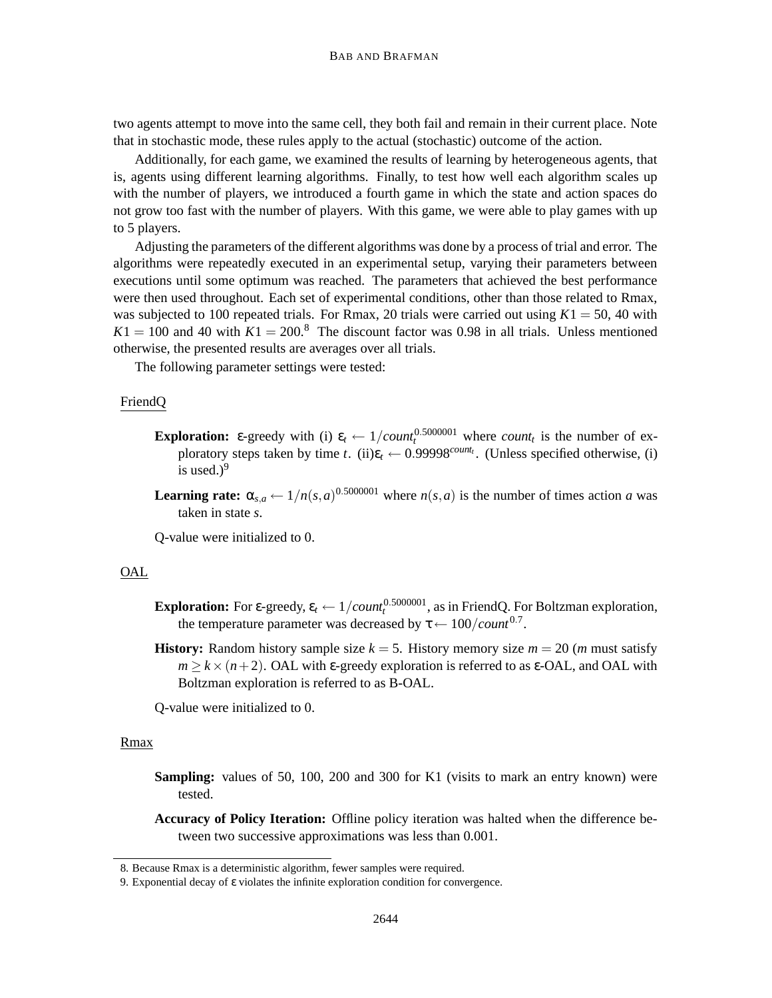two agents attempt to move into the same cell, they both fail and remain in their current place. Note that in stochastic mode, these rules apply to the actual (stochastic) outcome of the action.

Additionally, for each game, we examined the results of learning by heterogeneous agents, that is, agents using different learning algorithms. Finally, to test how well each algorithm scales up with the number of players, we introduced a fourth game in which the state and action spaces do not grow too fast with the number of players. With this game, we were able to play games with up to 5 players.

Adjusting the parameters of the different algorithms was done by a process of trial and error. The algorithms were repeatedly executed in an experimental setup, varying their parameters between executions until some optimum was reached. The parameters that achieved the best performance were then used throughout. Each set of experimental conditions, other than those related to Rmax, was subjected to 100 repeated trials. For Rmax, 20 trials were carried out using  $K1 = 50$ , 40 with  $K1 = 100$  and 40 with  $K1 = 200$ .<sup>8</sup> The discount factor was 0.98 in all trials. Unless mentioned otherwise, the presented results are averages over all trials.

The following parameter settings were tested:

## FriendQ

- **Exploration:** ε-greedy with (i)  $\varepsilon_t \leftarrow 1/count_t^{0.5000001}$  where *count<sub>t</sub>* is the number of exploratory steps taken by time *t*. (ii) $\varepsilon_t \leftarrow 0.99998^{count_t}$ . (Unless specified otherwise, (i) is used.) $9$
- **Learning rate:**  $\alpha_{s,a} \leftarrow 1/n(s,a)^{0.5000001}$  where  $n(s,a)$  is the number of times action *a* was taken in state *s*.

Q-value were initialized to 0.

## OAL

- **Exploration:** For  $\varepsilon$ -greedy,  $\varepsilon_t \leftarrow 1/coun_t^{0.5000001}$ , as in FriendQ. For Boltzman exploration, the temperature parameter was decreased by  $\tau \leftarrow 100/count^{0.7}$ .
- **History:** Random history sample size  $k = 5$ . History memory size  $m = 20$  (*m* must satisfy  $m \ge k \times (n+2)$ . OAL with  $\varepsilon$ -greedy exploration is referred to as  $\varepsilon$ -OAL, and OAL with Boltzman exploration is referred to as B-OAL.

Q-value were initialized to 0.

## Rmax

- **Sampling:** values of 50, 100, 200 and 300 for K1 (visits to mark an entry known) were tested.
- **Accuracy of Policy Iteration:** Offline policy iteration was halted when the difference between two successive approximations was less than 0.001.

<sup>8.</sup> Because Rmax is a deterministic algorithm, fewer samples were required.

<sup>9.</sup> Exponential decay of ε violates the infinite exploration condition for convergence.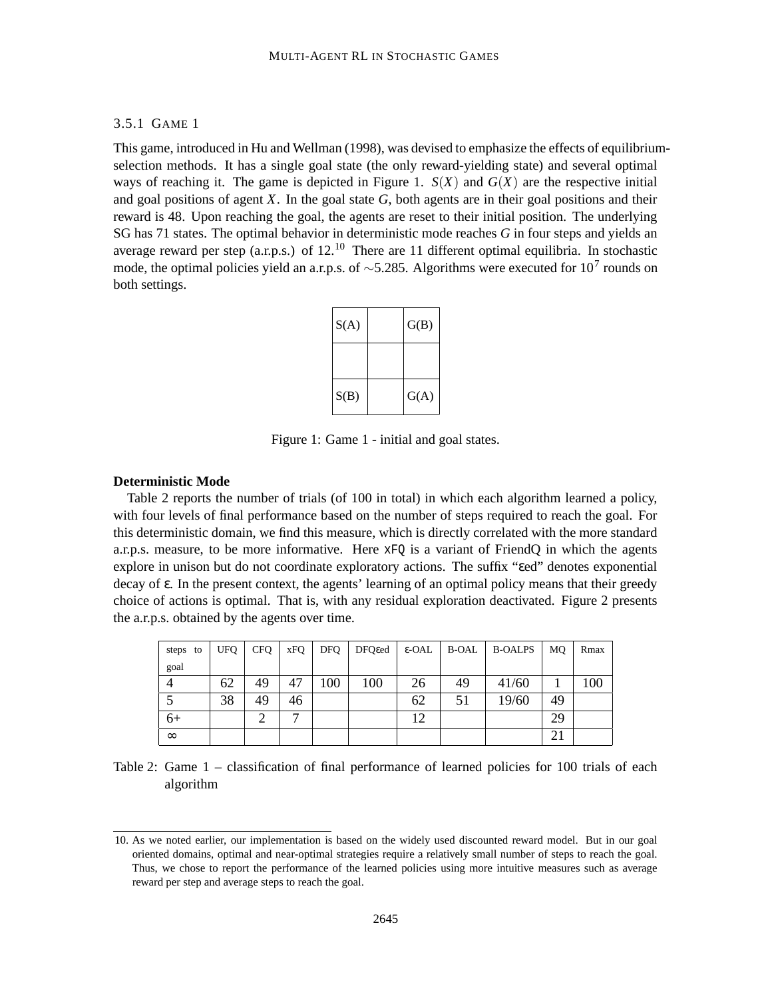## 3.5.1 GAME 1

This game, introduced in Hu and Wellman (1998), was devised to emphasize the effects of equilibriumselection methods. It has a single goal state (the only reward-yielding state) and several optimal ways of reaching it. The game is depicted in Figure 1.  $S(X)$  and  $G(X)$  are the respective initial and goal positions of agent *X*. In the goal state *G*, both agents are in their goal positions and their reward is 48. Upon reaching the goal, the agents are reset to their initial position. The underlying SG has 71 states. The optimal behavior in deterministic mode reaches *G* in four steps and yields an average reward per step (a.r.p.s.) of 12.<sup>10</sup> There are 11 different optimal equilibria. In stochastic mode, the optimal policies yield an a.r.p.s. of ~5.285. Algorithms were executed for 10<sup>7</sup> rounds on both settings.

| S(A) |  | G(B) |
|------|--|------|
|      |  |      |
| S(B) |  | G(A) |

Figure 1: Game 1 - initial and goal states.

#### **Deterministic Mode**

Table 2 reports the number of trials (of 100 in total) in which each algorithm learned a policy, with four levels of final performance based on the number of steps required to reach the goal. For this deterministic domain, we find this measure, which is directly correlated with the more standard a.r.p.s. measure, to be more informative. Here  $xFQ$  is a variant of FriendO in which the agents explore in unison but do not coordinate exploratory actions. The suffix "εed" denotes exponential decay of ε. In the present context, the agents' learning of an optimal policy means that their greedy choice of actions is optimal. That is, with any residual exploration deactivated. Figure 2 presents the a.r.p.s. obtained by the agents over time.

| steps to | UFQ | <b>CFQ</b> | xFQ          | <b>DFQ</b> | $DFQ\epsilon ed$ $\varepsilon$ -OAL |    | B-OAL | B-OALPS | MO. | Rmax |
|----------|-----|------------|--------------|------------|-------------------------------------|----|-------|---------|-----|------|
| goal     |     |            |              |            |                                     |    |       |         |     |      |
|          | 62  | 49         | 47           | 100        | 100                                 | 26 | 49    | 41/60   |     | 100  |
|          | 38  | 49         | 46           |            |                                     | 62 | 51    | 19/60   | 49  |      |
| $6+$     |     | ◠          | $\mathbf{r}$ |            |                                     | 12 |       |         | 29  |      |
| $\infty$ |     |            |              |            |                                     |    |       |         | 21  |      |

Table 2: Game 1 – classification of final performance of learned policies for 100 trials of each algorithm

<sup>10.</sup> As we noted earlier, our implementation is based on the widely used discounted reward model. But in our goal oriented domains, optimal and near-optimal strategies require a relatively small number of steps to reach the goal. Thus, we chose to report the performance of the learned policies using more intuitive measures such as average reward per step and average steps to reach the goal.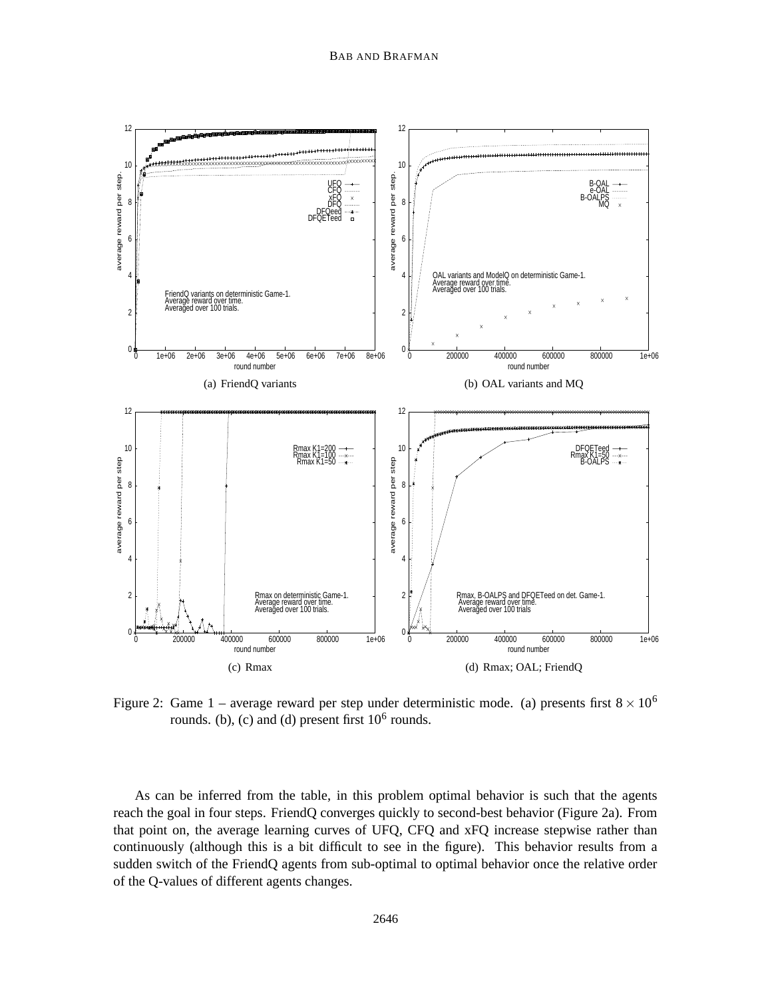

Figure 2: Game 1 – average reward per step under deterministic mode. (a) presents first  $8 \times 10^6$ rounds. (b), (c) and (d) present first  $10^6$  rounds.

As can be inferred from the table, in this problem optimal behavior is such that the agents reach the goal in four steps. FriendQ converges quickly to second-best behavior (Figure 2a). From that point on, the average learning curves of UFQ, CFQ and xFQ increase stepwise rather than continuously (although this is a bit difficult to see in the figure). This behavior results from a sudden switch of the FriendQ agents from sub-optimal to optimal behavior once the relative order of the Q-values of different agents changes.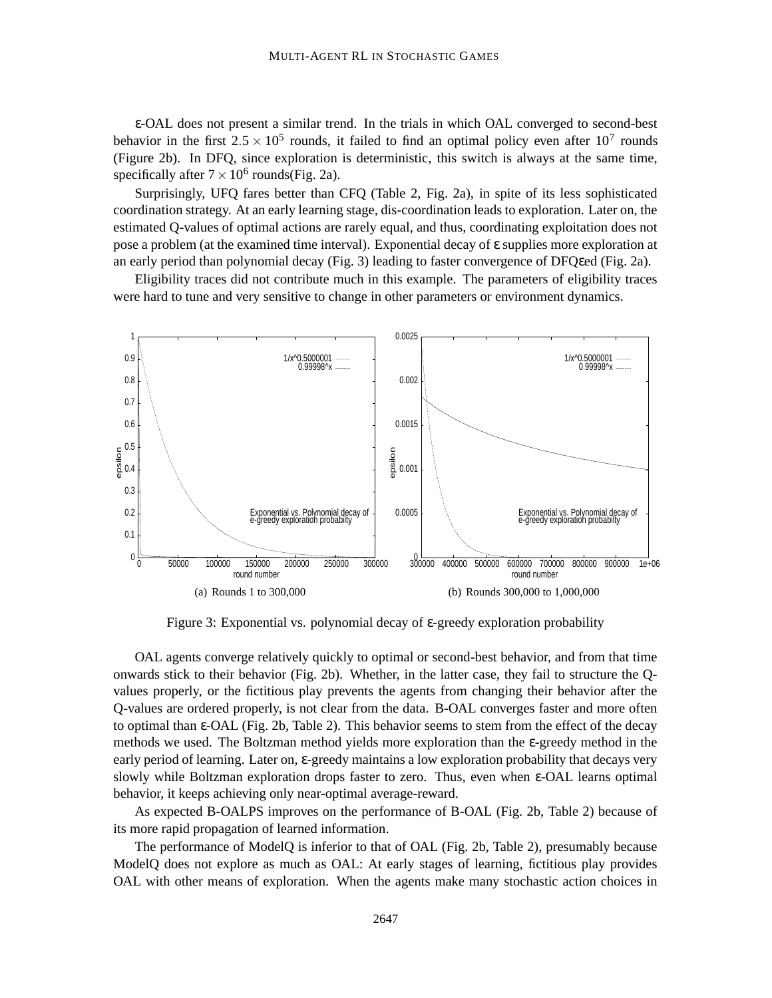ε-OAL does not present a similar trend. In the trials in which OAL converged to second-best behavior in the first  $2.5 \times 10^5$  rounds, it failed to find an optimal policy even after  $10^7$  rounds (Figure 2b). In DFQ, since exploration is deterministic, this switch is always at the same time, specifically after  $7 \times 10^6$  rounds(Fig. 2a).

Surprisingly, UFQ fares better than CFQ (Table 2, Fig. 2a), in spite of its less sophisticated coordination strategy. At an early learning stage, dis-coordination leads to exploration. Later on, the estimated Q-values of optimal actions are rarely equal, and thus, coordinating exploitation does not pose a problem (at the examined time interval). Exponential decay of ε supplies more exploration at an early period than polynomial decay (Fig. 3) leading to faster convergence of DFQεed (Fig. 2a).

Eligibility traces did not contribute much in this example. The parameters of eligibility traces were hard to tune and very sensitive to change in other parameters or environment dynamics.



Figure 3: Exponential vs. polynomial decay of ε-greedy exploration probability

OAL agents converge relatively quickly to optimal or second-best behavior, and from that time onwards stick to their behavior (Fig. 2b). Whether, in the latter case, they fail to structure the Qvalues properly, or the fictitious play prevents the agents from changing their behavior after the Q-values are ordered properly, is not clear from the data. B-OAL converges faster and more often to optimal than ε-OAL (Fig. 2b, Table 2). This behavior seems to stem from the effect of the decay methods we used. The Boltzman method yields more exploration than the ε-greedy method in the early period of learning. Later on, ε-greedy maintains a low exploration probability that decays very slowly while Boltzman exploration drops faster to zero. Thus, even when ε-OAL learns optimal behavior, it keeps achieving only near-optimal average-reward.

As expected B-OALPS improves on the performance of B-OAL (Fig. 2b, Table 2) because of its more rapid propagation of learned information.

The performance of ModelQ is inferior to that of OAL (Fig. 2b, Table 2), presumably because ModelQ does not explore as much as OAL: At early stages of learning, fictitious play provides OAL with other means of exploration. When the agents make many stochastic action choices in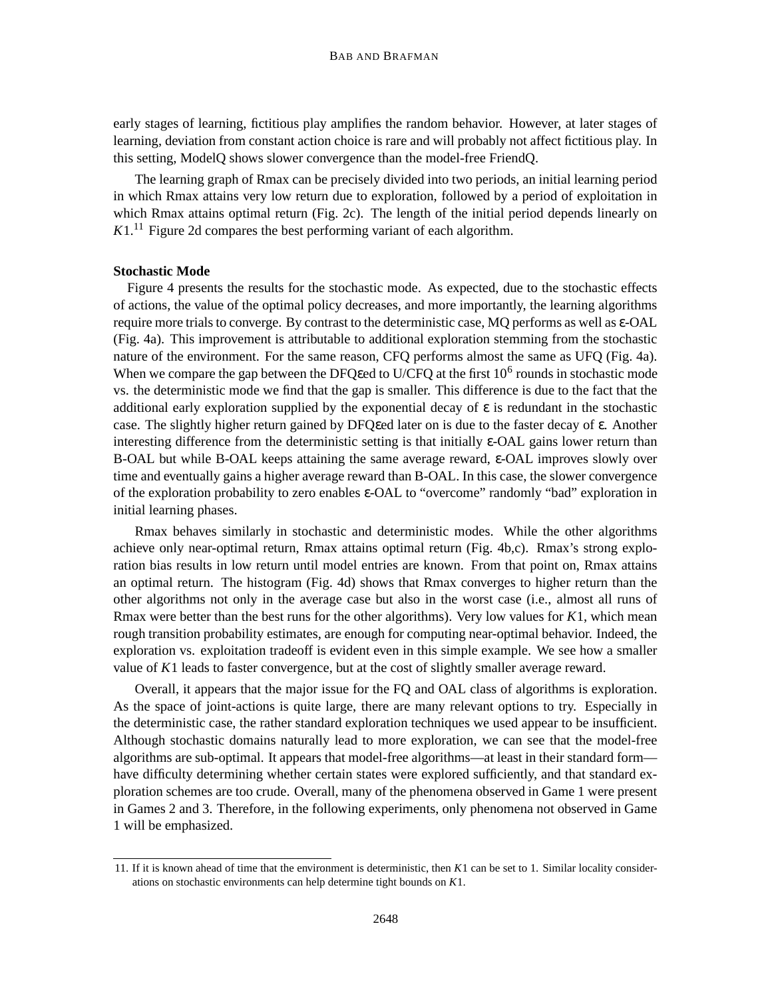early stages of learning, fictitious play amplifies the random behavior. However, at later stages of learning, deviation from constant action choice is rare and will probably not affect fictitious play. In this setting, ModelQ shows slower convergence than the model-free FriendQ.

The learning graph of Rmax can be precisely divided into two periods, an initial learning period in which Rmax attains very low return due to exploration, followed by a period of exploitation in which Rmax attains optimal return (Fig. 2c). The length of the initial period depends linearly on  $K1<sup>11</sup>$  Figure 2d compares the best performing variant of each algorithm.

## **Stochastic Mode**

Figure 4 presents the results for the stochastic mode. As expected, due to the stochastic effects of actions, the value of the optimal policy decreases, and more importantly, the learning algorithms require more trials to converge. By contrast to the deterministic case, MQ performs as well as ε-OAL (Fig. 4a). This improvement is attributable to additional exploration stemming from the stochastic nature of the environment. For the same reason, CFQ performs almost the same as UFQ (Fig. 4a). When we compare the gap between the DFQ to U/CFQ at the first  $10^6$  rounds in stochastic mode vs. the deterministic mode we find that the gap is smaller. This difference is due to the fact that the additional early exploration supplied by the exponential decay of  $\varepsilon$  is redundant in the stochastic case. The slightly higher return gained by DFQεed later on is due to the faster decay of ε. Another interesting difference from the deterministic setting is that initially ε-OAL gains lower return than B-OAL but while B-OAL keeps attaining the same average reward, ε-OAL improves slowly over time and eventually gains a higher average reward than B-OAL. In this case, the slower convergence of the exploration probability to zero enables ε-OAL to "overcome" randomly "bad" exploration in initial learning phases.

Rmax behaves similarly in stochastic and deterministic modes. While the other algorithms achieve only near-optimal return, Rmax attains optimal return (Fig. 4b,c). Rmax's strong exploration bias results in low return until model entries are known. From that point on, Rmax attains an optimal return. The histogram (Fig. 4d) shows that Rmax converges to higher return than the other algorithms not only in the average case but also in the worst case (i.e., almost all runs of Rmax were better than the best runs for the other algorithms). Very low values for *K*1, which mean rough transition probability estimates, are enough for computing near-optimal behavior. Indeed, the exploration vs. exploitation tradeoff is evident even in this simple example. We see how a smaller value of *K*1 leads to faster convergence, but at the cost of slightly smaller average reward.

Overall, it appears that the major issue for the FQ and OAL class of algorithms is exploration. As the space of joint-actions is quite large, there are many relevant options to try. Especially in the deterministic case, the rather standard exploration techniques we used appear to be insufficient. Although stochastic domains naturally lead to more exploration, we can see that the model-free algorithms are sub-optimal. It appears that model-free algorithms—at least in their standard form have difficulty determining whether certain states were explored sufficiently, and that standard exploration schemes are too crude. Overall, many of the phenomena observed in Game 1 were present in Games 2 and 3. Therefore, in the following experiments, only phenomena not observed in Game 1 will be emphasized.

<sup>11.</sup> If it is known ahead of time that the environment is deterministic, then *K*1 can be set to 1. Similar locality considerations on stochastic environments can help determine tight bounds on *K*1.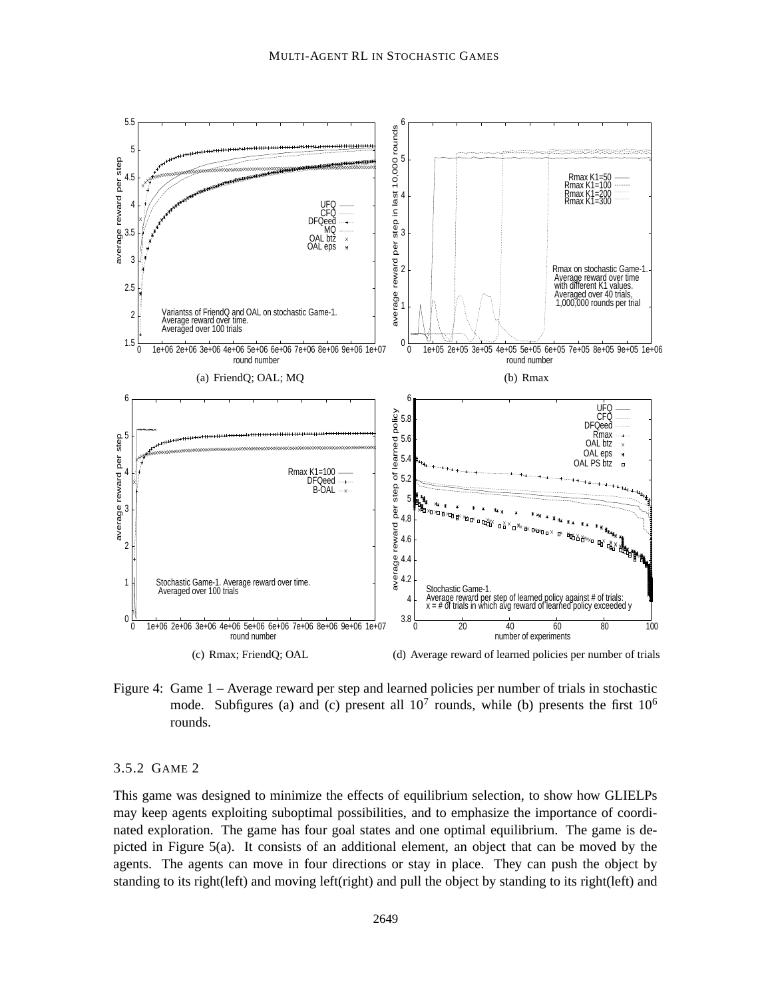

Figure 4: Game 1 – Average reward per step and learned policies per number of trials in stochastic mode. Subfigures (a) and (c) present all  $10^7$  rounds, while (b) presents the first  $10^6$ rounds.

## 3.5.2 GAME 2

This game was designed to minimize the effects of equilibrium selection, to show how GLIELPs may keep agents exploiting suboptimal possibilities, and to emphasize the importance of coordinated exploration. The game has four goal states and one optimal equilibrium. The game is depicted in Figure 5(a). It consists of an additional element, an object that can be moved by the agents. The agents can move in four directions or stay in place. They can push the object by standing to its right(left) and moving left(right) and pull the object by standing to its right(left) and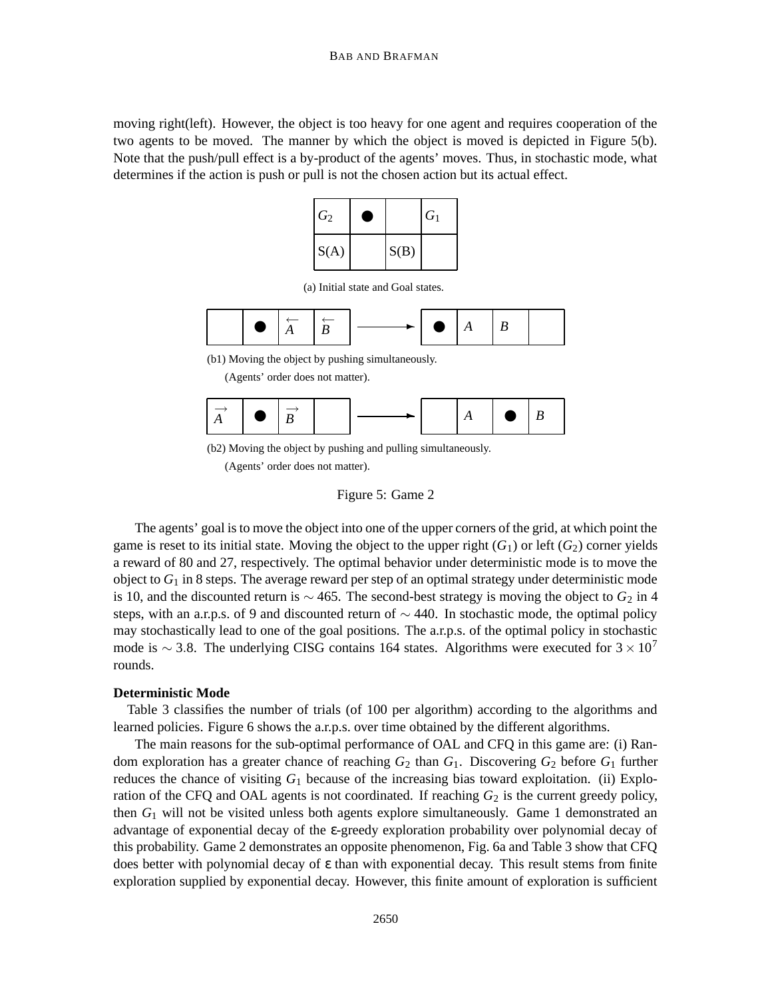moving right(left). However, the object is too heavy for one agent and requires cooperation of the two agents to be moved. The manner by which the object is moved is depicted in Figure 5(b). Note that the push/pull effect is a by-product of the agents' moves. Thus, in stochastic mode, what determines if the action is push or pull is not the chosen action but its actual effect.



(a) Initial state and Goal states.

|  |  | $\bullet$ $\left  \begin{array}{c} \overleftarrow{A} \\ A \end{array} \right  \left  \begin{array}{c} \overleftarrow{B} \\ B \end{array} \right  -$ |  | $\longrightarrow$ $\bullet$ $\upharpoonright$ $A$ $\upharpoonright$ $B$ |  |  |  |  |
|--|--|-----------------------------------------------------------------------------------------------------------------------------------------------------|--|-------------------------------------------------------------------------|--|--|--|--|
|--|--|-----------------------------------------------------------------------------------------------------------------------------------------------------|--|-------------------------------------------------------------------------|--|--|--|--|

(b1) Moving the object by pushing simultaneously.

<sup>(</sup>Agents' order does not matter).

| $\Box$<br>٠<br>$\blacksquare$ |  | $\Box$ $\blacksquare$ |
|-------------------------------|--|-----------------------|
|-------------------------------|--|-----------------------|

(b2) Moving the object by pushing and pulling simultaneously.

(Agents' order does not matter).



The agents' goal is to move the object into one of the upper corners of the grid, at which point the game is reset to its initial state. Moving the object to the upper right  $(G_1)$  or left  $(G_2)$  corner yields a reward of 80 and 27, respectively. The optimal behavior under deterministic mode is to move the object to  $G_1$  in 8 steps. The average reward per step of an optimal strategy under deterministic mode is 10, and the discounted return is  $\sim$  465. The second-best strategy is moving the object to  $G_2$  in 4 steps, with an a.r.p.s. of 9 and discounted return of  $\sim$  440. In stochastic mode, the optimal policy may stochastically lead to one of the goal positions. The a.r.p.s. of the optimal policy in stochastic mode is  $\sim$  3.8. The underlying CISG contains 164 states. Algorithms were executed for 3 × 10<sup>7</sup> rounds.

## **Deterministic Mode**

Table 3 classifies the number of trials (of 100 per algorithm) according to the algorithms and learned policies. Figure 6 shows the a.r.p.s. over time obtained by the different algorithms.

The main reasons for the sub-optimal performance of OAL and CFQ in this game are: (i) Random exploration has a greater chance of reaching  $G_2$  than  $G_1$ . Discovering  $G_2$  before  $G_1$  further reduces the chance of visiting  $G_1$  because of the increasing bias toward exploitation. (ii) Exploration of the CFQ and OAL agents is not coordinated. If reaching  $G_2$  is the current greedy policy, then *G*<sup>1</sup> will not be visited unless both agents explore simultaneously. Game 1 demonstrated an advantage of exponential decay of the ε-greedy exploration probability over polynomial decay of this probability. Game 2 demonstrates an opposite phenomenon, Fig. 6a and Table 3 show that CFQ does better with polynomial decay of ε than with exponential decay. This result stems from finite exploration supplied by exponential decay. However, this finite amount of exploration is sufficient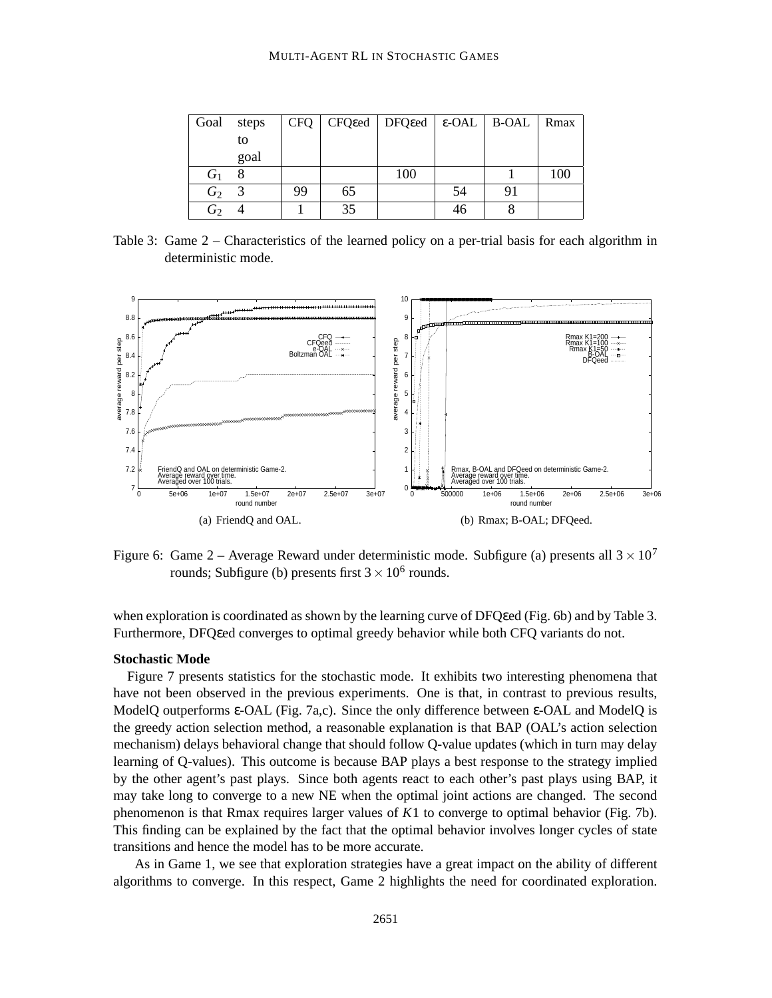| Goal           | steps |    |    | $CFQ$   CFQ eed   DFQ eed   $\varepsilon$ -OAL   B-OAL |    |    | Rmax |
|----------------|-------|----|----|--------------------------------------------------------|----|----|------|
|                | to    |    |    |                                                        |    |    |      |
|                | goal  |    |    |                                                        |    |    |      |
| $G_1$          |       |    |    | 100                                                    |    |    | 100  |
| $G_2$          |       | 99 | 65 |                                                        | 54 | 91 |      |
| G <sub>2</sub> |       |    | 35 |                                                        | 46 |    |      |

Table 3: Game 2 – Characteristics of the learned policy on a per-trial basis for each algorithm in deterministic mode.



Figure 6: Game 2 – Average Reward under deterministic mode. Subfigure (a) presents all  $3 \times 10^7$ rounds; Subfigure (b) presents first  $3 \times 10^6$  rounds.

when exploration is coordinated as shown by the learning curve of DFQεed (Fig. 6b) and by Table 3. Furthermore, DFQεed converges to optimal greedy behavior while both CFQ variants do not.

## **Stochastic Mode**

Figure 7 presents statistics for the stochastic mode. It exhibits two interesting phenomena that have not been observed in the previous experiments. One is that, in contrast to previous results, ModelQ outperforms ε-OAL (Fig. 7a,c). Since the only difference between ε-OAL and ModelQ is the greedy action selection method, a reasonable explanation is that BAP (OAL's action selection mechanism) delays behavioral change that should follow Q-value updates (which in turn may delay learning of Q-values). This outcome is because BAP plays a best response to the strategy implied by the other agent's past plays. Since both agents react to each other's past plays using BAP, it may take long to converge to a new NE when the optimal joint actions are changed. The second phenomenon is that Rmax requires larger values of *K*1 to converge to optimal behavior (Fig. 7b). This finding can be explained by the fact that the optimal behavior involves longer cycles of state transitions and hence the model has to be more accurate.

As in Game 1, we see that exploration strategies have a great impact on the ability of different algorithms to converge. In this respect, Game 2 highlights the need for coordinated exploration.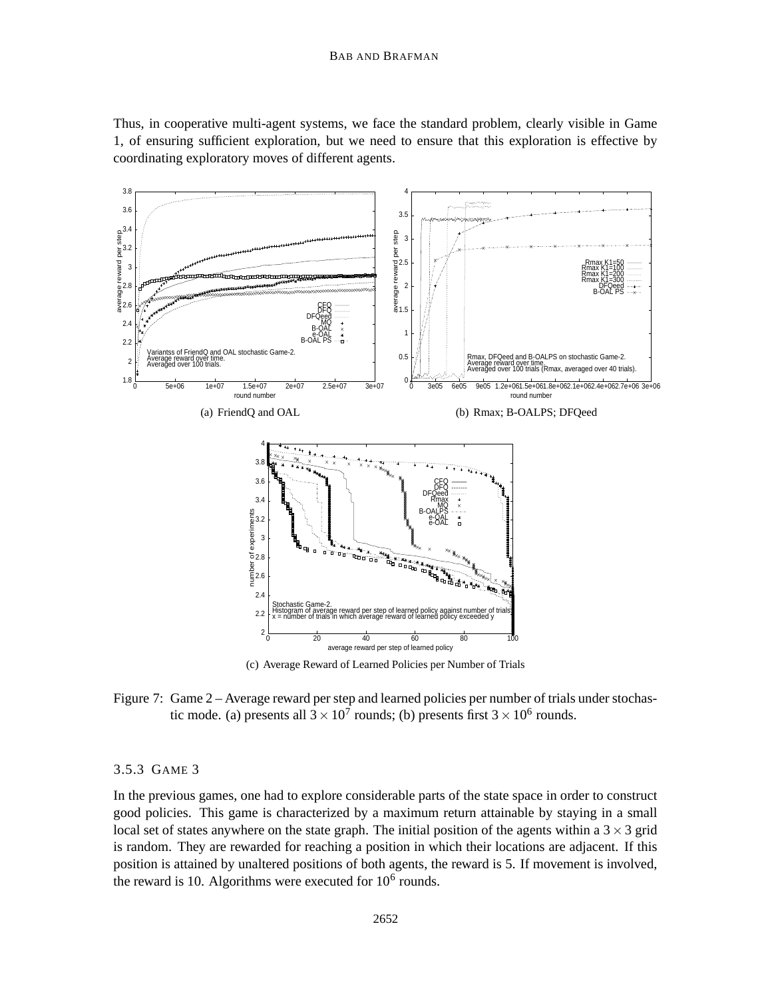#### BAB AND BRAFMAN

Thus, in cooperative multi-agent systems, we face the standard problem, clearly visible in Game 1, of ensuring sufficient exploration, but we need to ensure that this exploration is effective by coordinating exploratory moves of different agents.



(c) Average Reward of Learned Policies per Number of Trials

Figure 7: Game 2 – Average reward per step and learned policies per number of trials under stochastic mode. (a) presents all  $3 \times 10^7$  rounds; (b) presents first  $3 \times 10^6$  rounds.

## 3.5.3 GAME 3

In the previous games, one had to explore considerable parts of the state space in order to construct good policies. This game is characterized by a maximum return attainable by staying in a small local set of states anywhere on the state graph. The initial position of the agents within a  $3 \times 3$  grid is random. They are rewarded for reaching a position in which their locations are adjacent. If this position is attained by unaltered positions of both agents, the reward is 5. If movement is involved, the reward is 10. Algorithms were executed for  $10^6$  rounds.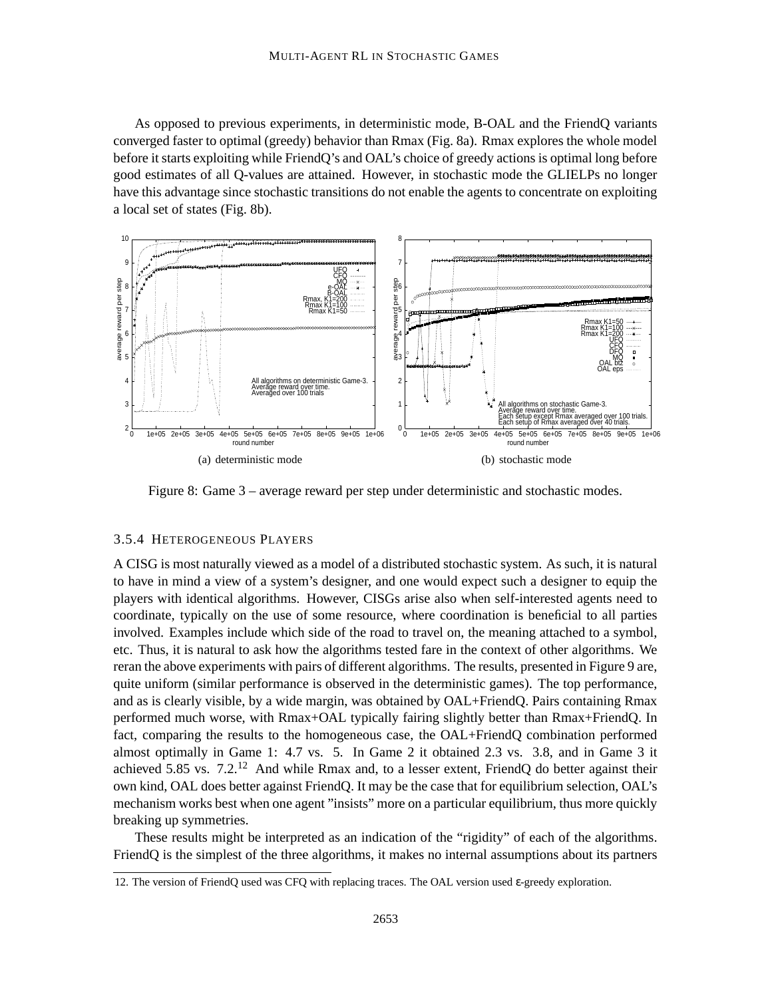As opposed to previous experiments, in deterministic mode, B-OAL and the FriendQ variants converged faster to optimal (greedy) behavior than Rmax (Fig. 8a). Rmax explores the whole model before it starts exploiting while FriendQ's and OAL's choice of greedy actions is optimal long before good estimates of all Q-values are attained. However, in stochastic mode the GLIELPs no longer have this advantage since stochastic transitions do not enable the agents to concentrate on exploiting a local set of states (Fig. 8b).



Figure 8: Game 3 – average reward per step under deterministic and stochastic modes.

## 3.5.4 HETEROGENEOUS PLAYERS

A CISG is most naturally viewed as a model of a distributed stochastic system. As such, it is natural to have in mind a view of a system's designer, and one would expect such a designer to equip the players with identical algorithms. However, CISGs arise also when self-interested agents need to coordinate, typically on the use of some resource, where coordination is beneficial to all parties involved. Examples include which side of the road to travel on, the meaning attached to a symbol, etc. Thus, it is natural to ask how the algorithms tested fare in the context of other algorithms. We reran the above experiments with pairs of different algorithms. The results, presented in Figure 9 are, quite uniform (similar performance is observed in the deterministic games). The top performance, and as is clearly visible, by a wide margin, was obtained by OAL+FriendQ. Pairs containing Rmax performed much worse, with Rmax+OAL typically fairing slightly better than Rmax+FriendQ. In fact, comparing the results to the homogeneous case, the OAL+FriendQ combination performed almost optimally in Game 1: 4.7 vs. 5. In Game 2 it obtained 2.3 vs. 3.8, and in Game 3 it achieved 5.85 vs. 7.2.<sup>12</sup> And while Rmax and, to a lesser extent, FriendQ do better against their own kind, OAL does better against FriendQ. It may be the case that for equilibrium selection, OAL's mechanism works best when one agent "insists" more on a particular equilibrium, thus more quickly breaking up symmetries.

These results might be interpreted as an indication of the "rigidity" of each of the algorithms. FriendQ is the simplest of the three algorithms, it makes no internal assumptions about its partners

<sup>12.</sup> The version of FriendQ used was CFQ with replacing traces. The OAL version used ε-greedy exploration.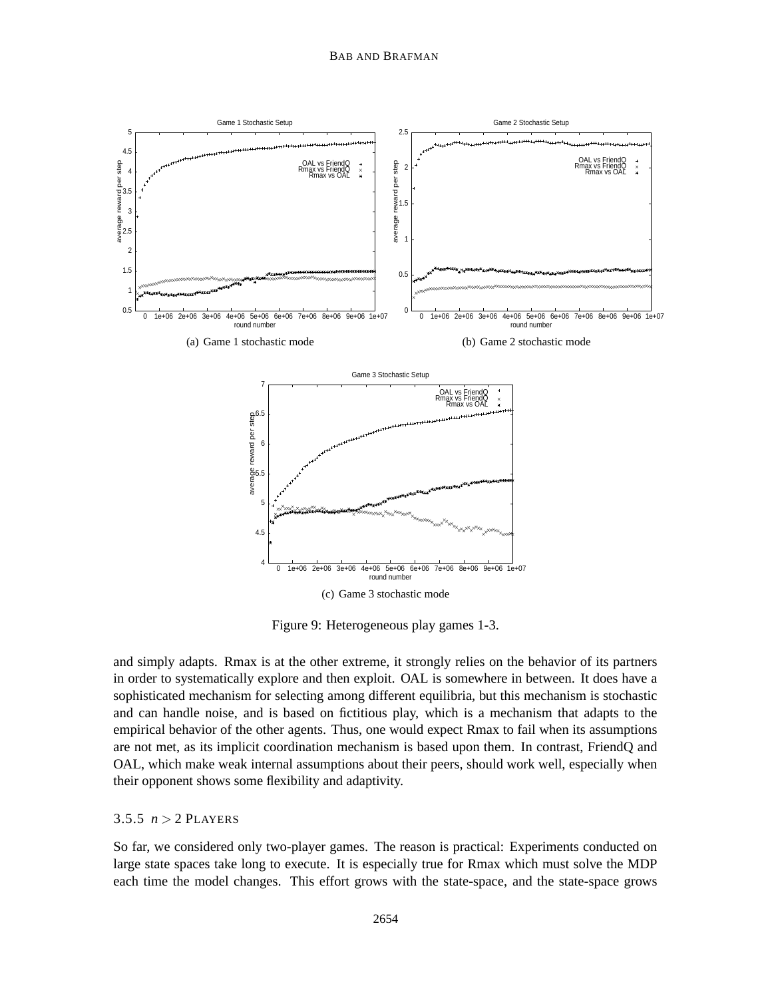

Figure 9: Heterogeneous play games 1-3.

and simply adapts. Rmax is at the other extreme, it strongly relies on the behavior of its partners in order to systematically explore and then exploit. OAL is somewhere in between. It does have a sophisticated mechanism for selecting among different equilibria, but this mechanism is stochastic and can handle noise, and is based on fictitious play, which is a mechanism that adapts to the empirical behavior of the other agents. Thus, one would expect Rmax to fail when its assumptions are not met, as its implicit coordination mechanism is based upon them. In contrast, FriendQ and OAL, which make weak internal assumptions about their peers, should work well, especially when their opponent shows some flexibility and adaptivity.

## 3.5.5  $n > 2$  PLAYERS

So far, we considered only two-player games. The reason is practical: Experiments conducted on large state spaces take long to execute. It is especially true for Rmax which must solve the MDP each time the model changes. This effort grows with the state-space, and the state-space grows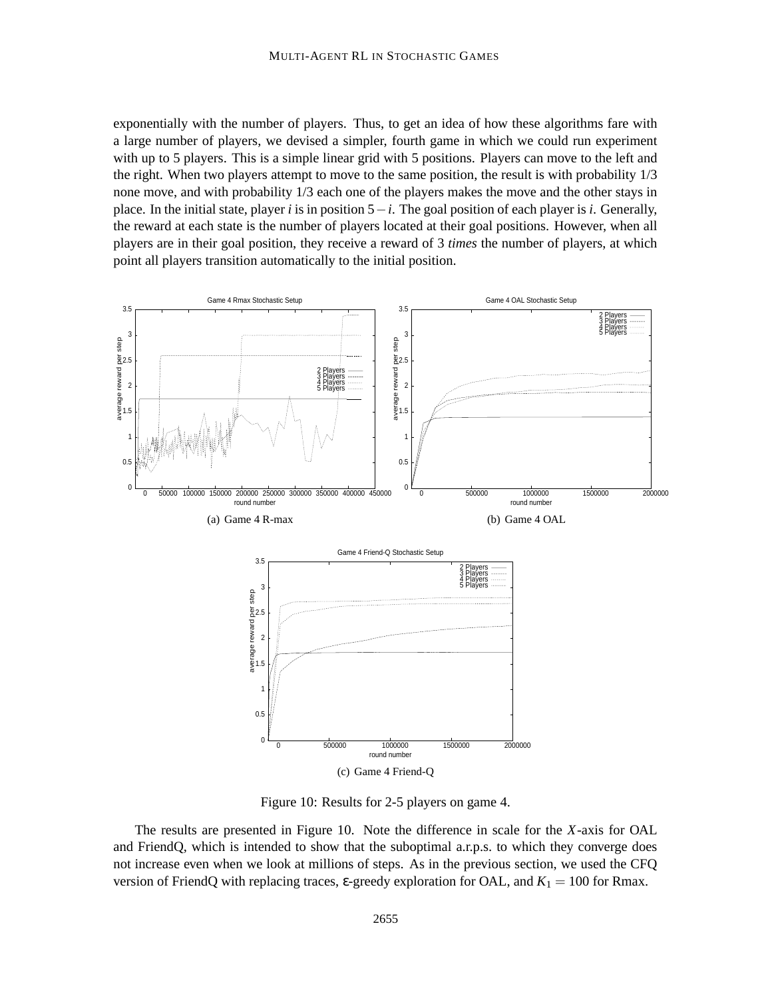exponentially with the number of players. Thus, to get an idea of how these algorithms fare with a large number of players, we devised a simpler, fourth game in which we could run experiment with up to 5 players. This is a simple linear grid with 5 positions. Players can move to the left and the right. When two players attempt to move to the same position, the result is with probability 1/3 none move, and with probability 1/3 each one of the players makes the move and the other stays in place. In the initial state, player *i* is in position 5−*i*. The goal position of each player is *i*. Generally, the reward at each state is the number of players located at their goal positions. However, when all players are in their goal position, they receive a reward of 3 *times* the number of players, at which point all players transition automatically to the initial position.



Figure 10: Results for 2-5 players on game 4.

The results are presented in Figure 10. Note the difference in scale for the *X*-axis for OAL and FriendQ, which is intended to show that the suboptimal a.r.p.s. to which they converge does not increase even when we look at millions of steps. As in the previous section, we used the CFQ version of FriendQ with replacing traces,  $\varepsilon$ -greedy exploration for OAL, and  $K_1 = 100$  for Rmax.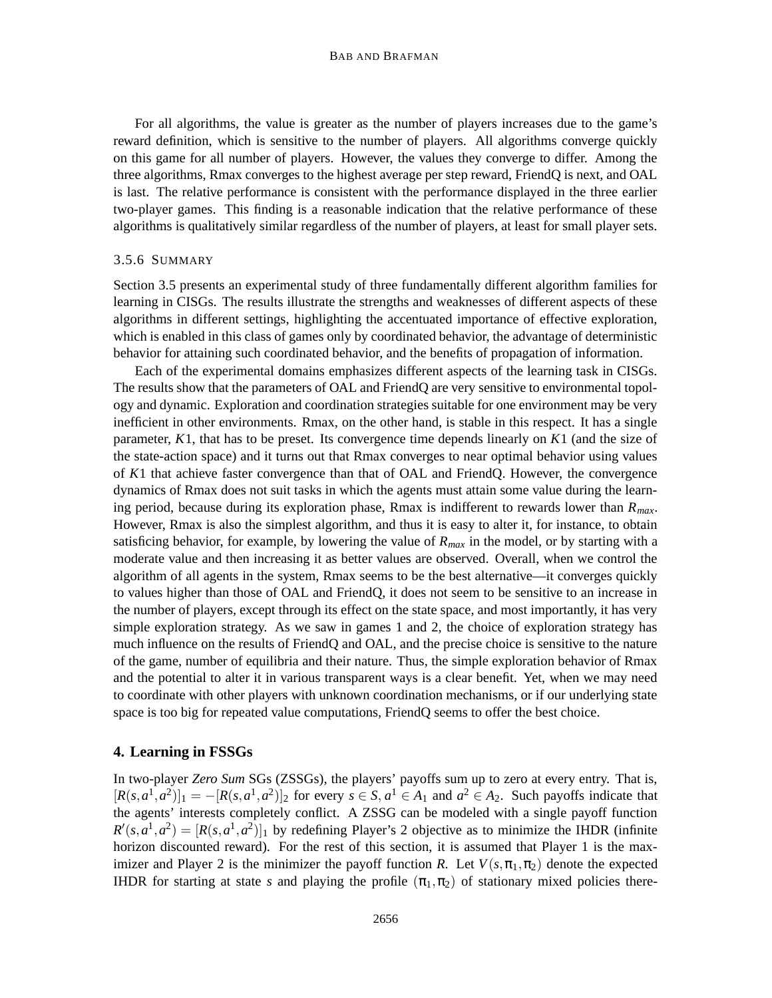#### BAB AND BRAFMAN

For all algorithms, the value is greater as the number of players increases due to the game's reward definition, which is sensitive to the number of players. All algorithms converge quickly on this game for all number of players. However, the values they converge to differ. Among the three algorithms, Rmax converges to the highest average per step reward, FriendQ is next, and OAL is last. The relative performance is consistent with the performance displayed in the three earlier two-player games. This finding is a reasonable indication that the relative performance of these algorithms is qualitatively similar regardless of the number of players, at least for small player sets.

## 3.5.6 SUMMARY

Section 3.5 presents an experimental study of three fundamentally different algorithm families for learning in CISGs. The results illustrate the strengths and weaknesses of different aspects of these algorithms in different settings, highlighting the accentuated importance of effective exploration, which is enabled in this class of games only by coordinated behavior, the advantage of deterministic behavior for attaining such coordinated behavior, and the benefits of propagation of information.

Each of the experimental domains emphasizes different aspects of the learning task in CISGs. The results show that the parameters of OAL and FriendQ are very sensitive to environmental topology and dynamic. Exploration and coordination strategies suitable for one environment may be very inefficient in other environments. Rmax, on the other hand, is stable in this respect. It has a single parameter, *K*1, that has to be preset. Its convergence time depends linearly on *K*1 (and the size of the state-action space) and it turns out that Rmax converges to near optimal behavior using values of *K*1 that achieve faster convergence than that of OAL and FriendQ. However, the convergence dynamics of Rmax does not suit tasks in which the agents must attain some value during the learning period, because during its exploration phase, Rmax is indifferent to rewards lower than *Rmax*. However, Rmax is also the simplest algorithm, and thus it is easy to alter it, for instance, to obtain satisficing behavior, for example, by lowering the value of  $R_{max}$  in the model, or by starting with a moderate value and then increasing it as better values are observed. Overall, when we control the algorithm of all agents in the system, Rmax seems to be the best alternative—it converges quickly to values higher than those of OAL and FriendQ, it does not seem to be sensitive to an increase in the number of players, except through its effect on the state space, and most importantly, it has very simple exploration strategy. As we saw in games 1 and 2, the choice of exploration strategy has much influence on the results of FriendQ and OAL, and the precise choice is sensitive to the nature of the game, number of equilibria and their nature. Thus, the simple exploration behavior of Rmax and the potential to alter it in various transparent ways is a clear benefit. Yet, when we may need to coordinate with other players with unknown coordination mechanisms, or if our underlying state space is too big for repeated value computations, FriendQ seems to offer the best choice.

## **4. Learning in FSSGs**

In two-player *Zero Sum* SGs (ZSSGs), the players' payoffs sum up to zero at every entry. That is,  $[R(s, a^1, a^2)]_1 = -[R(s, a^1, a^2)]_2$  for every  $s \in S$ ,  $a^1 \in A_1$  and  $a^2 \in A_2$ . Such payoffs indicate that the agents' interests completely conflict. A ZSSG can be modeled with a single payoff function  $R'(s, a^1, a^2) = [R(s, a^1, a^2)]_1$  by redefining Player's 2 objective as to minimize the IHDR (infinite horizon discounted reward). For the rest of this section, it is assumed that Player 1 is the maximizer and Player 2 is the minimizer the payoff function *R*. Let  $V(s, \pi_1, \pi_2)$  denote the expected IHDR for starting at state *s* and playing the profile  $(\pi_1, \pi_2)$  of stationary mixed policies there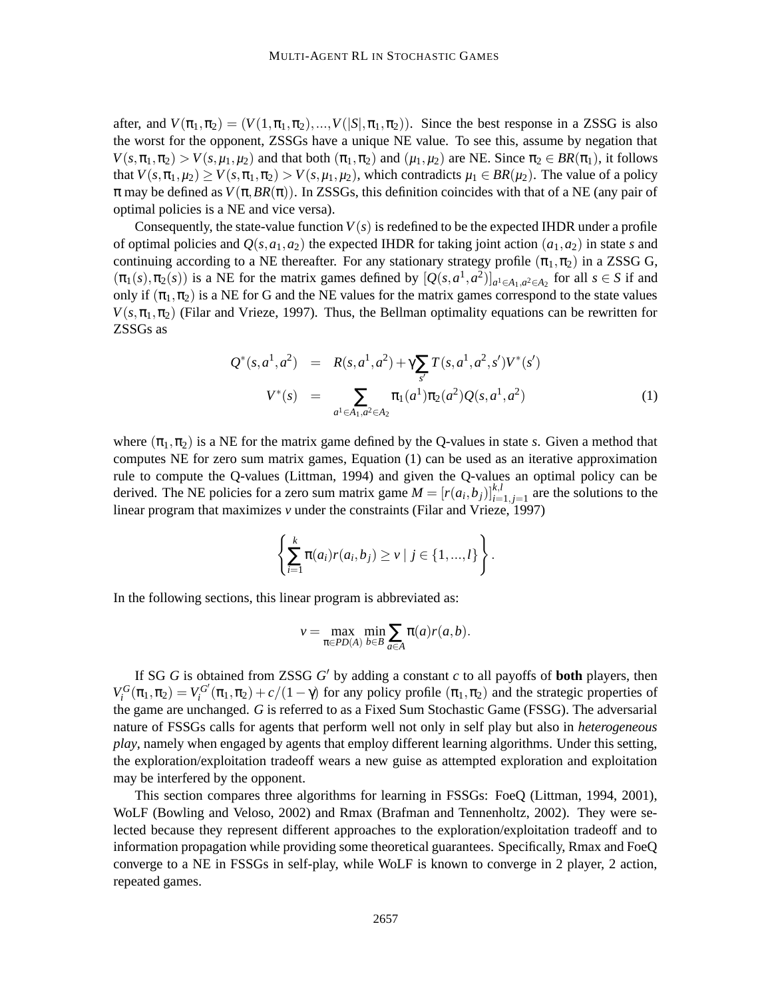after, and  $V(\pi_1, \pi_2) = (V(1, \pi_1, \pi_2), \dots, V(|S|, \pi_1, \pi_2))$ . Since the best response in a ZSSG is also the worst for the opponent, ZSSGs have a unique NE value. To see this, assume by negation that  $V(s, \pi_1, \pi_2) > V(s, \mu_1, \mu_2)$  and that both  $(\pi_1, \pi_2)$  and  $(\mu_1, \mu_2)$  are NE. Since  $\pi_2 \in BR(\pi_1)$ , it follows that  $V(s, \pi_1, \mu_2) \ge V(s, \pi_1, \pi_2) > V(s, \mu_1, \mu_2)$ , which contradicts  $\mu_1 \in BR(\mu_2)$ . The value of a policy  $\pi$  may be defined as  $V(\pi, BR(\pi))$ . In ZSSGs, this definition coincides with that of a NE (any pair of optimal policies is a NE and vice versa).

Consequently, the state-value function  $V(s)$  is redefined to be the expected IHDR under a profile of optimal policies and  $Q(s, a_1, a_2)$  the expected IHDR for taking joint action  $(a_1, a_2)$  in state *s* and continuing according to a NE thereafter. For any stationary strategy profile  $(\pi_1, \pi_2)$  in a ZSSG G,  $(\pi_1(s), \pi_2(s))$  is a NE for the matrix games defined by  $[Q(s, a^1, a^2)]_{a^1 \in A_1, a^2 \in A_2}$  for all  $s \in S$  if and only if  $(\pi_1, \pi_2)$  is a NE for G and the NE values for the matrix games correspond to the state values  $V(s, \pi_1, \pi_2)$  (Filar and Vrieze, 1997). Thus, the Bellman optimality equations can be rewritten for ZSSGs as

$$
Q^*(s, a^1, a^2) = R(s, a^1, a^2) + \gamma \sum_{s'} T(s, a^1, a^2, s') V^*(s')
$$
  

$$
V^*(s) = \sum_{a^1 \in A_1, a^2 \in A_2} \pi_1(a^1) \pi_2(a^2) Q(s, a^1, a^2)
$$
 (1)

where  $(\pi_1, \pi_2)$  is a NE for the matrix game defined by the Q-values in state *s*. Given a method that computes NE for zero sum matrix games, Equation (1) can be used as an iterative approximation rule to compute the Q-values (Littman, 1994) and given the Q-values an optimal policy can be derived. The NE policies for a zero sum matrix game  $M = [r(a_i, b_j)]_{i=1, j=1}^{k,l}$  are the solutions to the linear program that maximizes *v* under the constraints (Filar and Vrieze, 1997)

$$
\left\{\sum_{i=1}^k \pi(a_i)r(a_i,b_j) \geq v \mid j \in \{1,...,l\}\right\}.
$$

In the following sections, this linear program is abbreviated as:

$$
v = \max_{\pi \in PD(A)} \min_{b \in B} \sum_{a \in A} \pi(a)r(a,b).
$$

If SG  $G$  is obtained from ZSSG  $G'$  by adding a constant  $c$  to all payoffs of **both** players, then  $V_i^G(\pi_1, \pi_2) = V_i^{G'}$  $\int_i^{G'}(\pi_1,\pi_2) + c/(1-\gamma)$  for any policy profile  $(\pi_1,\pi_2)$  and the strategic properties of the game are unchanged. *G* is referred to as a Fixed Sum Stochastic Game (FSSG). The adversarial nature of FSSGs calls for agents that perform well not only in self play but also in *heterogeneous play*, namely when engaged by agents that employ different learning algorithms. Under this setting, the exploration/exploitation tradeoff wears a new guise as attempted exploration and exploitation may be interfered by the opponent.

This section compares three algorithms for learning in FSSGs: FoeQ (Littman, 1994, 2001), WoLF (Bowling and Veloso, 2002) and Rmax (Brafman and Tennenholtz, 2002). They were selected because they represent different approaches to the exploration/exploitation tradeoff and to information propagation while providing some theoretical guarantees. Specifically, Rmax and FoeQ converge to a NE in FSSGs in self-play, while WoLF is known to converge in 2 player, 2 action, repeated games.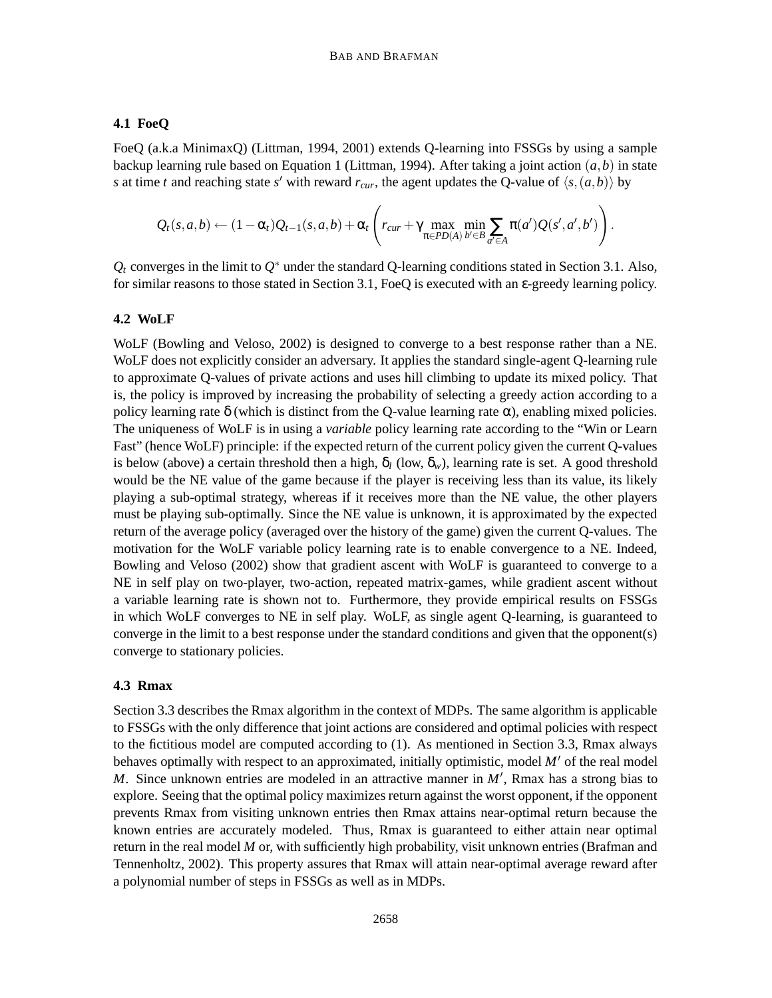## **4.1 FoeQ**

FoeQ (a.k.a MinimaxQ) (Littman, 1994, 2001) extends Q-learning into FSSGs by using a sample backup learning rule based on Equation 1 (Littman, 1994). After taking a joint action (*a*,*b*) in state *s* at time *t* and reaching state *s*' with reward  $r_{cur}$ , the agent updates the Q-value of  $\langle s, (a, b) \rangle$  by

$$
Q_t(s,a,b)\leftarrow (1-\alpha_t)Q_{t-1}(s,a,b)+\alpha_t\left(r_{cur}+\gamma \max_{\pi\in PD(A)}\min_{b'\in B}\sum_{a'\in A}\pi(a')Q(s',a',b')\right).
$$

 $Q_t$  converges in the limit to  $Q^*$  under the standard Q-learning conditions stated in Section 3.1. Also, for similar reasons to those stated in Section 3.1, FoeQ is executed with an ε-greedy learning policy.

## **4.2 WoLF**

WoLF (Bowling and Veloso, 2002) is designed to converge to a best response rather than a NE. WoLF does not explicitly consider an adversary. It applies the standard single-agent Q-learning rule to approximate Q-values of private actions and uses hill climbing to update its mixed policy. That is, the policy is improved by increasing the probability of selecting a greedy action according to a policy learning rate  $\delta$  (which is distinct from the Q-value learning rate  $\alpha$ ), enabling mixed policies. The uniqueness of WoLF is in using a *variable* policy learning rate according to the "Win or Learn Fast" (hence WoLF) principle: if the expected return of the current policy given the current Q-values is below (above) a certain threshold then a high,  $\delta_l$  (low,  $\delta_w$ ), learning rate is set. A good threshold would be the NE value of the game because if the player is receiving less than its value, its likely playing a sub-optimal strategy, whereas if it receives more than the NE value, the other players must be playing sub-optimally. Since the NE value is unknown, it is approximated by the expected return of the average policy (averaged over the history of the game) given the current Q-values. The motivation for the WoLF variable policy learning rate is to enable convergence to a NE. Indeed, Bowling and Veloso (2002) show that gradient ascent with WoLF is guaranteed to converge to a NE in self play on two-player, two-action, repeated matrix-games, while gradient ascent without a variable learning rate is shown not to. Furthermore, they provide empirical results on FSSGs in which WoLF converges to NE in self play. WoLF, as single agent Q-learning, is guaranteed to converge in the limit to a best response under the standard conditions and given that the opponent(s) converge to stationary policies.

## **4.3 Rmax**

Section 3.3 describes the Rmax algorithm in the context of MDPs. The same algorithm is applicable to FSSGs with the only difference that joint actions are considered and optimal policies with respect to the fictitious model are computed according to (1). As mentioned in Section 3.3, Rmax always behaves optimally with respect to an approximated, initially optimistic, model M' of the real model *M*. Since unknown entries are modeled in an attractive manner in  $M'$ , Rmax has a strong bias to explore. Seeing that the optimal policy maximizes return against the worst opponent, if the opponent prevents Rmax from visiting unknown entries then Rmax attains near-optimal return because the known entries are accurately modeled. Thus, Rmax is guaranteed to either attain near optimal return in the real model *M* or, with sufficiently high probability, visit unknown entries (Brafman and Tennenholtz, 2002). This property assures that Rmax will attain near-optimal average reward after a polynomial number of steps in FSSGs as well as in MDPs.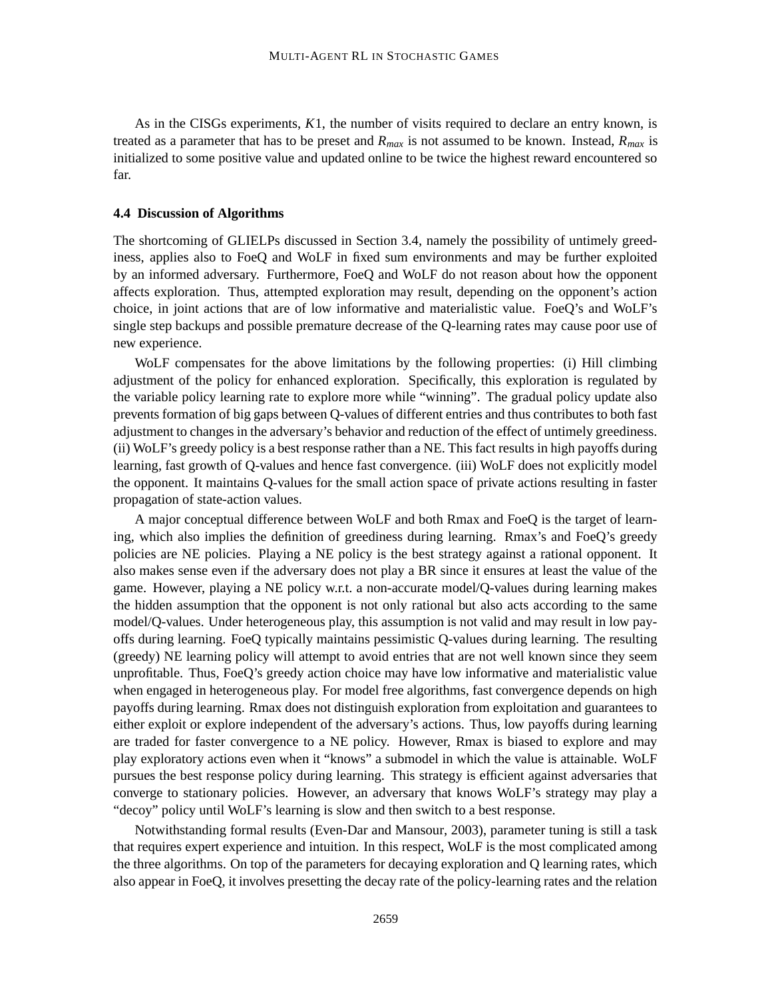As in the CISGs experiments, *K*1, the number of visits required to declare an entry known, is treated as a parameter that has to be preset and  $R_{max}$  is not assumed to be known. Instead,  $R_{max}$  is initialized to some positive value and updated online to be twice the highest reward encountered so far.

#### **4.4 Discussion of Algorithms**

The shortcoming of GLIELPs discussed in Section 3.4, namely the possibility of untimely greediness, applies also to FoeQ and WoLF in fixed sum environments and may be further exploited by an informed adversary. Furthermore, FoeQ and WoLF do not reason about how the opponent affects exploration. Thus, attempted exploration may result, depending on the opponent's action choice, in joint actions that are of low informative and materialistic value. FoeQ's and WoLF's single step backups and possible premature decrease of the Q-learning rates may cause poor use of new experience.

WoLF compensates for the above limitations by the following properties: (i) Hill climbing adjustment of the policy for enhanced exploration. Specifically, this exploration is regulated by the variable policy learning rate to explore more while "winning". The gradual policy update also prevents formation of big gaps between Q-values of different entries and thus contributes to both fast adjustment to changes in the adversary's behavior and reduction of the effect of untimely greediness. (ii) WoLF's greedy policy is a best response rather than a NE. This fact results in high payoffs during learning, fast growth of Q-values and hence fast convergence. (iii) WoLF does not explicitly model the opponent. It maintains Q-values for the small action space of private actions resulting in faster propagation of state-action values.

A major conceptual difference between WoLF and both Rmax and FoeQ is the target of learning, which also implies the definition of greediness during learning. Rmax's and FoeQ's greedy policies are NE policies. Playing a NE policy is the best strategy against a rational opponent. It also makes sense even if the adversary does not play a BR since it ensures at least the value of the game. However, playing a NE policy w.r.t. a non-accurate model/Q-values during learning makes the hidden assumption that the opponent is not only rational but also acts according to the same model/Q-values. Under heterogeneous play, this assumption is not valid and may result in low payoffs during learning. FoeQ typically maintains pessimistic Q-values during learning. The resulting (greedy) NE learning policy will attempt to avoid entries that are not well known since they seem unprofitable. Thus, FoeQ's greedy action choice may have low informative and materialistic value when engaged in heterogeneous play. For model free algorithms, fast convergence depends on high payoffs during learning. Rmax does not distinguish exploration from exploitation and guarantees to either exploit or explore independent of the adversary's actions. Thus, low payoffs during learning are traded for faster convergence to a NE policy. However, Rmax is biased to explore and may play exploratory actions even when it "knows" a submodel in which the value is attainable. WoLF pursues the best response policy during learning. This strategy is efficient against adversaries that converge to stationary policies. However, an adversary that knows WoLF's strategy may play a "decoy" policy until WoLF's learning is slow and then switch to a best response.

Notwithstanding formal results (Even-Dar and Mansour, 2003), parameter tuning is still a task that requires expert experience and intuition. In this respect, WoLF is the most complicated among the three algorithms. On top of the parameters for decaying exploration and Q learning rates, which also appear in FoeQ, it involves presetting the decay rate of the policy-learning rates and the relation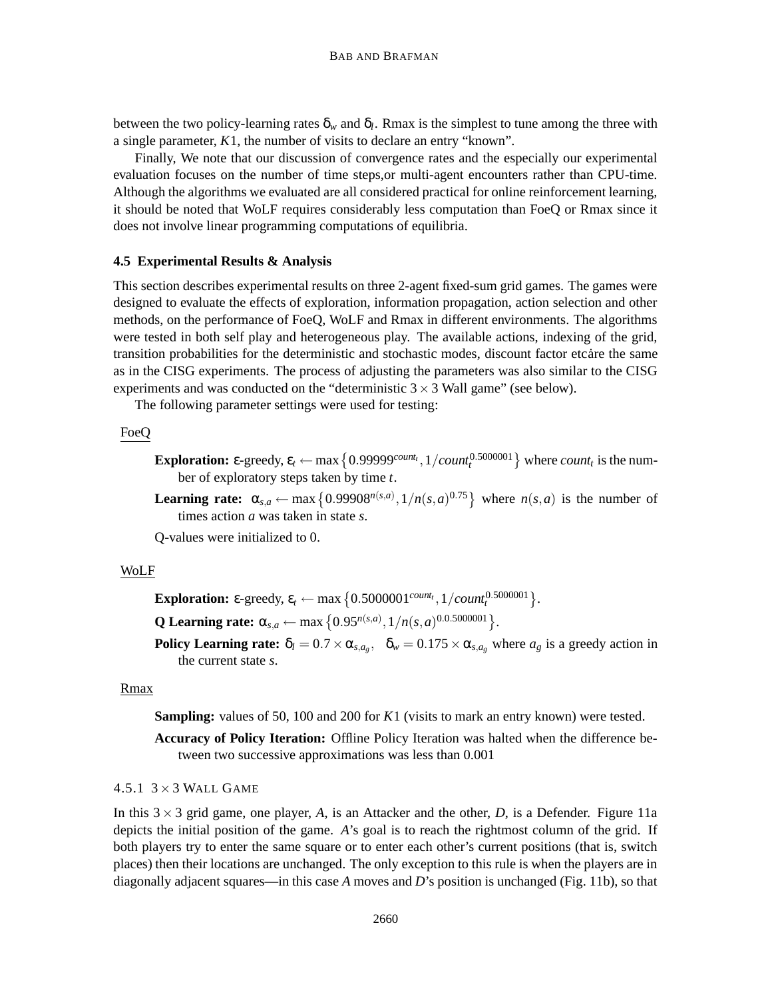between the two policy-learning rates  $\delta_w$  and  $\delta_l$ . Rmax is the simplest to tune among the three with a single parameter, *K*1, the number of visits to declare an entry "known".

Finally, We note that our discussion of convergence rates and the especially our experimental evaluation focuses on the number of time steps,or multi-agent encounters rather than CPU-time. Although the algorithms we evaluated are all considered practical for online reinforcement learning, it should be noted that WoLF requires considerably less computation than FoeQ or Rmax since it does not involve linear programming computations of equilibria.

## **4.5 Experimental Results & Analysis**

This section describes experimental results on three 2-agent fixed-sum grid games. The games were designed to evaluate the effects of exploration, information propagation, action selection and other methods, on the performance of FoeQ, WoLF and Rmax in different environments. The algorithms were tested in both self play and heterogeneous play. The available actions, indexing of the grid, transition probabilities for the deterministic and stochastic modes, discount factor etcare the same as in the CISG experiments. The process of adjusting the parameters was also similar to the CISG experiments and was conducted on the "deterministic  $3 \times 3$  Wall game" (see below).

The following parameter settings were used for testing:

## FoeQ

- **Exploration:**  $\varepsilon$ -greedy,  $\varepsilon_t$   $\leftarrow$  max  $\{0.99999^{count_t}, 1/count_t^{0.5000001}\}$  where *count<sub>t</sub>* is the number of exploratory steps taken by time *t*.
- **Learning rate:**  $\alpha_{s,a} \leftarrow \max\left\{0.99908^{n(s,a)}, 1/n(s,a)^{0.75}\right\}$  where  $n(s,a)$  is the number of times action *a* was taken in state *s*.

Q-values were initialized to 0.

## WoLF

**Exploration:**  $\varepsilon$ -greedy,  $\varepsilon_t \leftarrow \max\left\{0.5000001^{count_t}, 1/count_t^{0.5000001}\right\}.$ 

**Q** Learning rate:  $\alpha_{s,a} \leftarrow \max\left\{0.95^{n(s,a)}, 1/n(s,a)^{0.0.5000001}\right\}.$ 

**Policy Learning rate:**  $\delta_l = 0.7 \times \alpha_{s,a_g}$ ,  $\delta_w = 0.175 \times \alpha_{s,a_g}$  where  $a_g$  is a greedy action in the current state *s*.

## Rmax

**Sampling:** values of 50, 100 and 200 for *K*1 (visits to mark an entry known) were tested.

**Accuracy of Policy Iteration:** Offline Policy Iteration was halted when the difference between two successive approximations was less than 0.001

4.5.1  $3 \times 3$  WALL GAME

In this  $3 \times 3$  grid game, one player, A, is an Attacker and the other, D, is a Defender. Figure 11a depicts the initial position of the game. *A*'s goal is to reach the rightmost column of the grid. If both players try to enter the same square or to enter each other's current positions (that is, switch places) then their locations are unchanged. The only exception to this rule is when the players are in diagonally adjacent squares—in this case *A* moves and *D*'s position is unchanged (Fig. 11b), so that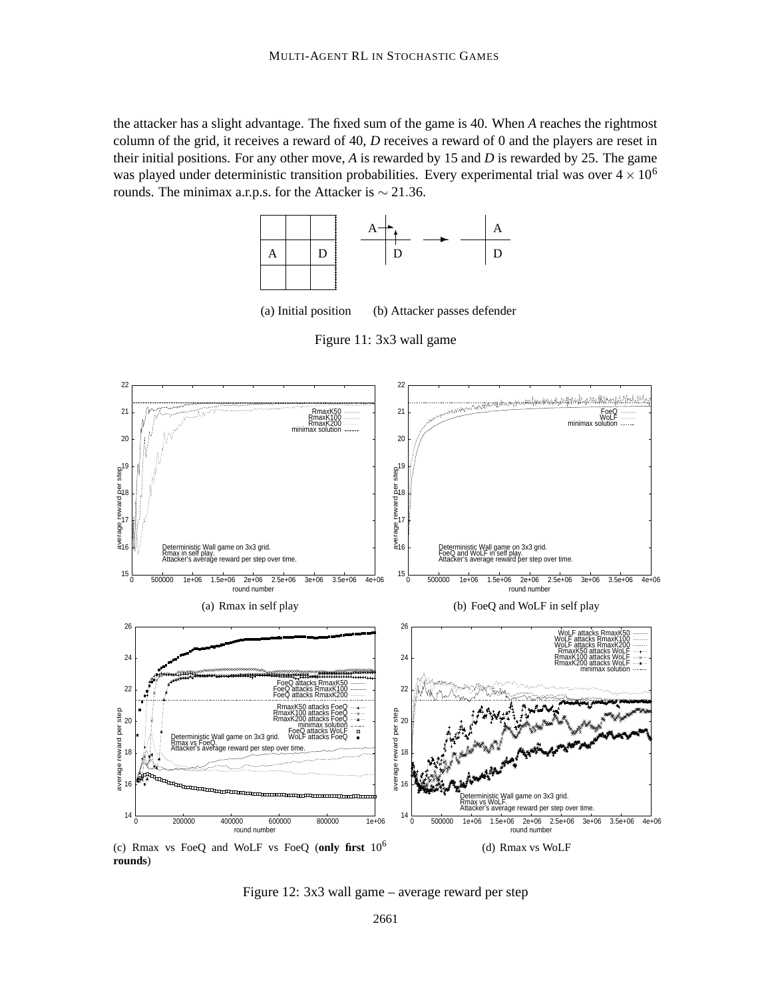the attacker has a slight advantage. The fixed sum of the game is 40. When *A* reaches the rightmost column of the grid, it receives a reward of 40, *D* receives a reward of 0 and the players are reset in their initial positions. For any other move, *A* is rewarded by 15 and *D* is rewarded by 25. The game was played under deterministic transition probabilities. Every experimental trial was over  $4 \times 10^6$ rounds. The minimax a.r.p.s. for the Attacker is  $\sim$  21.36.





Figure 11: 3x3 wall game



**rounds**)

Figure 12: 3x3 wall game – average reward per step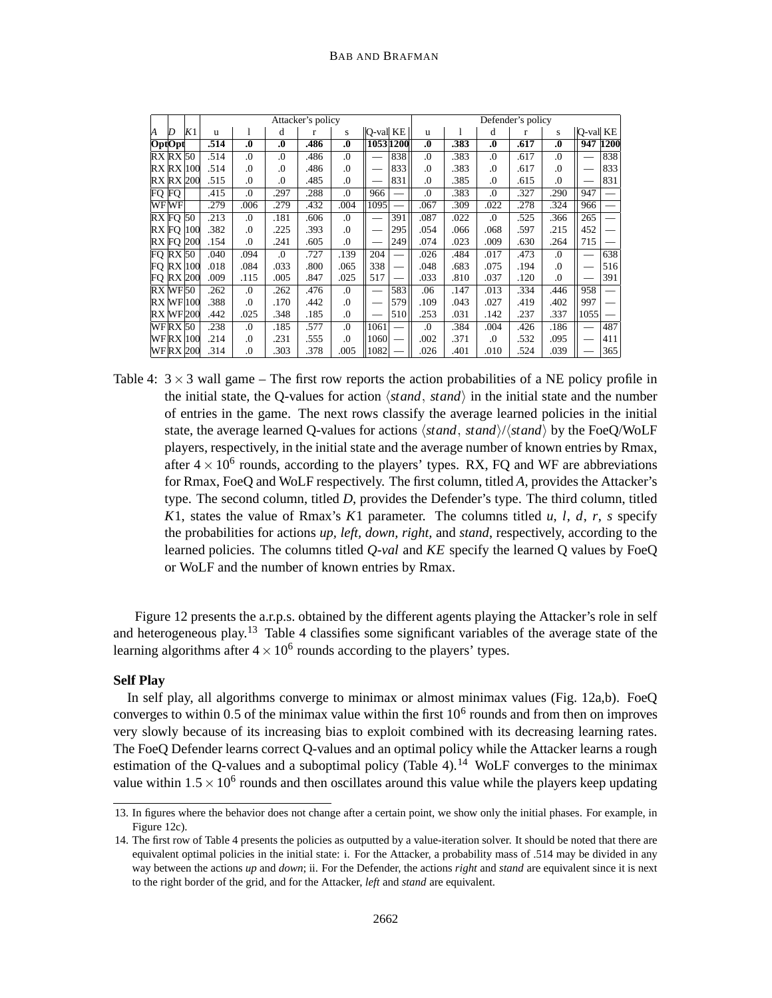|        |                |               |              |                  |                  | Attacker's policy |                  |                          |           |                  |      |                  | Defender's policy |                  |          |      |
|--------|----------------|---------------|--------------|------------------|------------------|-------------------|------------------|--------------------------|-----------|------------------|------|------------------|-------------------|------------------|----------|------|
| И      | D              | K1            | $\mathbf{u}$ |                  | d                | r                 | S                | O-val KE                 |           | u                |      | d                | r                 | S                | Q-val KE |      |
| OptOpt |                |               | .514         | $\boldsymbol{0}$ | $\boldsymbol{0}$ | .486              | $\boldsymbol{0}$ |                          | 1053 1200 | $\boldsymbol{0}$ | .383 | $\boldsymbol{0}$ | .617              | $\boldsymbol{0}$ | 947      | 1200 |
|        | RX RX 50       |               | .514         | .0               | .0               | .486              | .0               |                          | 838       | .0               | .383 | .0               | .617              | $\Omega$ .       |          | 838  |
|        |                | RX RX  100    | .514         | .0               | $\Omega$         | .486              | .0               |                          | 833       | .0               | .383 | $\Omega$         | .617              | $\Omega$ .       |          | 833  |
|        |                | RX RX 200     | .515         | .0               | .0               | .485              | .0               |                          | 831       | .0               | .385 | .0               | .615              | 0.               |          | 831  |
| FQ FQ  |                |               | .415         | .0               | .297             | .288              | .0               | 966                      |           | .0               | .383 | .0               | .327              | 290              | 947      |      |
|        | WFWF           |               | .279         | .006             | .279             | .432              | .004             | 1095                     |           | .067             | .309 | .022             | .278              | .324             | 966      |      |
|        | RX FO 50       |               | .213         | .0               | .181             | .606              | .0               | $\overline{\phantom{0}}$ | 391       | .087             | .022 | .0               | .525              | .366             | 265      |      |
| RX FO  |                | 100           | .382         | .0               | .225             | .393              | .0               |                          | 295       | .054             | .066 | .068             | .597              | .215             | 452      |      |
| RX FO  |                | <b>200</b>    | .154         | .0               | .241             | .605              | 0.               |                          | 249       | .074             | .023 | .009             | .630              | .264             | 715      |      |
|        | FQ RX 50       |               | .040         | .094             | .0               | .727              | .139             | 204                      |           | .026             | .484 | .017             | .473              | 0.               |          | 638  |
|        |                | FQ RX 100     | .018         | .084             | .033             | .800              | .065             | 338                      |           | .048             | .683 | .075             | .194              | 0.               |          | 516  |
| FO     |                | <b>RX</b> 200 | .009         | .115             | .005             | .847              | .025             | 517                      |           | .033             | .810 | .037             | .120              | $\cdot$          |          | 391  |
|        | RX WF 50       |               | .262         | .0               | .262             | .476              | .0               |                          | 583       | .06              | .147 | .013             | .334              | .446             | 958      |      |
|        |                | RX WF 100     | .388         | .0               | .170             | .442              | .0               |                          | 579       | .109             | .043 | .027             | .419              | .402             | 997      |      |
|        |                | RX WF 200     | .442         | .025             | .348             | .185              | 0.               |                          | 510       | .253             | .031 | .142             | .237              | .337             | 1055     |      |
|        | <b>WFRX 50</b> |               | .238         | .0               | .185             | .577              | 0.               | 1061                     |           | .0               | .384 | .004             | .426              | .186             |          | 487  |
|        |                | WFRX  100     | .214         | .0               | .231             | .555              | .0               | 1060                     |           | .002             | .371 | $\Omega$         | .532              | .095             |          | 411  |
|        |                | WFRX 200      | .314         | 0.               | .303             | .378              | .005             | 1082                     |           | .026             | .401 | .010             | .524              | .039             |          | 365  |

Table 4:  $3 \times 3$  wall game – The first row reports the action probabilities of a NE policy profile in the initial state, the Q-values for action  $\langle stand, stand \rangle$  in the initial state and the number of entries in the game. The next rows classify the average learned policies in the initial state, the average learned Q-values for actions  $\langle stand, stand \rangle / \langle stand \rangle$  by the FoeQ/WoLF players, respectively, in the initial state and the average number of known entries by Rmax, after  $4 \times 10^6$  rounds, according to the players' types. RX, FQ and WF are abbreviations for Rmax, FoeQ and WoLF respectively. The first column, titled *A*, provides the Attacker's type. The second column, titled *D*, provides the Defender's type. The third column, titled *K*1, states the value of Rmax's *K*1 parameter. The columns titled *u*, *l*, *d*, *r*, *s* specify the probabilities for actions *up, left, down, right,* and *stand*, respectively, according to the learned policies. The columns titled *Q*-*val* and *KE* specify the learned Q values by FoeQ or WoLF and the number of known entries by Rmax.

Figure 12 presents the a.r.p.s. obtained by the different agents playing the Attacker's role in self and heterogeneous play.<sup>13</sup> Table 4 classifies some significant variables of the average state of the learning algorithms after  $4 \times 10^6$  rounds according to the players' types.

## **Self Play**

In self play, all algorithms converge to minimax or almost minimax values (Fig. 12a,b). FoeQ converges to within 0.5 of the minimax value within the first  $10<sup>6</sup>$  rounds and from then on improves very slowly because of its increasing bias to exploit combined with its decreasing learning rates. The FoeQ Defender learns correct Q-values and an optimal policy while the Attacker learns a rough estimation of the Q-values and a suboptimal policy (Table 4).<sup>14</sup> WoLF converges to the minimax value within  $1.5 \times 10^6$  rounds and then oscillates around this value while the players keep updating

<sup>13.</sup> In figures where the behavior does not change after a certain point, we show only the initial phases. For example, in Figure 12c).

<sup>14.</sup> The first row of Table 4 presents the policies as outputted by a value-iteration solver. It should be noted that there are equivalent optimal policies in the initial state: i. For the Attacker, a probability mass of .514 may be divided in any way between the actions *up* and *down*; ii. For the Defender, the actions *right* and *stand* are equivalent since it is next to the right border of the grid, and for the Attacker, *left* and *stand* are equivalent.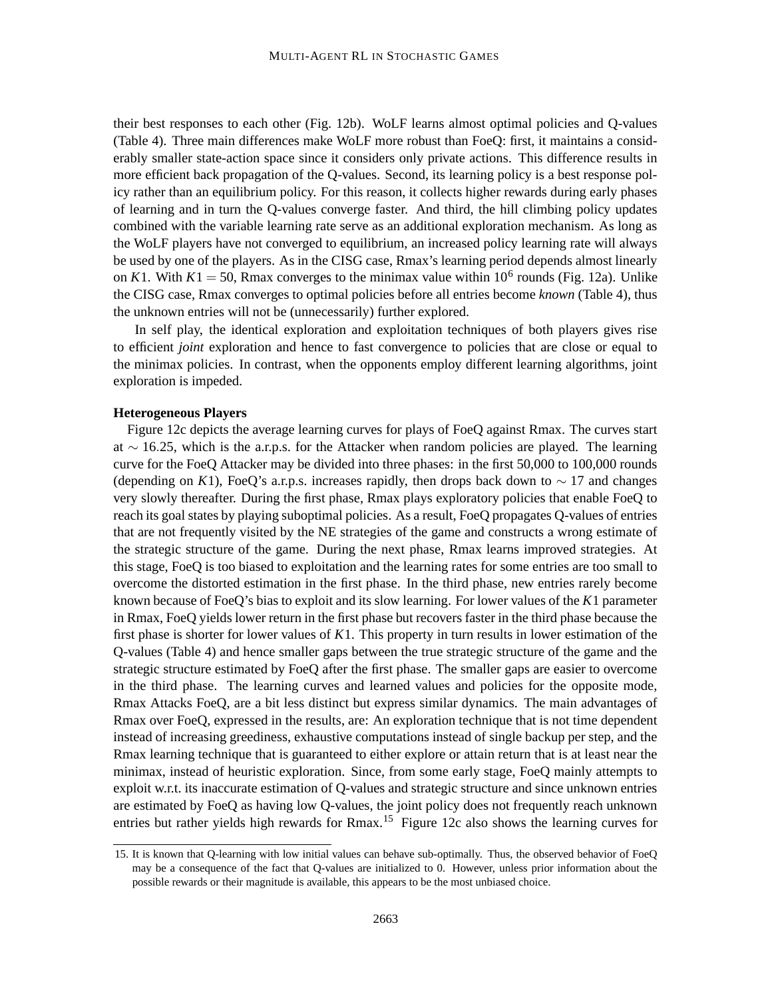their best responses to each other (Fig. 12b). WoLF learns almost optimal policies and Q-values (Table 4). Three main differences make WoLF more robust than FoeQ: first, it maintains a considerably smaller state-action space since it considers only private actions. This difference results in more efficient back propagation of the Q-values. Second, its learning policy is a best response policy rather than an equilibrium policy. For this reason, it collects higher rewards during early phases of learning and in turn the Q-values converge faster. And third, the hill climbing policy updates combined with the variable learning rate serve as an additional exploration mechanism. As long as the WoLF players have not converged to equilibrium, an increased policy learning rate will always be used by one of the players. As in the CISG case, Rmax's learning period depends almost linearly on *K*1. With  $K1 = 50$ , Rmax converges to the minimax value within 10<sup>6</sup> rounds (Fig. 12a). Unlike the CISG case, Rmax converges to optimal policies before all entries become *known* (Table 4), thus the unknown entries will not be (unnecessarily) further explored.

In self play, the identical exploration and exploitation techniques of both players gives rise to efficient *joint* exploration and hence to fast convergence to policies that are close or equal to the minimax policies. In contrast, when the opponents employ different learning algorithms, joint exploration is impeded.

## **Heterogeneous Players**

Figure 12c depicts the average learning curves for plays of FoeQ against Rmax. The curves start at  $\sim$  16.25, which is the a.r.p.s. for the Attacker when random policies are played. The learning curve for the FoeQ Attacker may be divided into three phases: in the first 50,000 to 100,000 rounds (depending on *K*1), FoeQ's a.r.p.s. increases rapidly, then drops back down to  $\sim$  17 and changes very slowly thereafter. During the first phase, Rmax plays exploratory policies that enable FoeQ to reach its goal states by playing suboptimal policies. As a result, FoeQ propagates Q-values of entries that are not frequently visited by the NE strategies of the game and constructs a wrong estimate of the strategic structure of the game. During the next phase, Rmax learns improved strategies. At this stage, FoeQ is too biased to exploitation and the learning rates for some entries are too small to overcome the distorted estimation in the first phase. In the third phase, new entries rarely become known because of FoeQ's bias to exploit and its slow learning. For lower values of the *K*1 parameter in Rmax, FoeQ yields lower return in the first phase but recovers faster in the third phase because the first phase is shorter for lower values of *K*1. This property in turn results in lower estimation of the Q-values (Table 4) and hence smaller gaps between the true strategic structure of the game and the strategic structure estimated by FoeQ after the first phase. The smaller gaps are easier to overcome in the third phase. The learning curves and learned values and policies for the opposite mode, Rmax Attacks FoeQ, are a bit less distinct but express similar dynamics. The main advantages of Rmax over FoeQ, expressed in the results, are: An exploration technique that is not time dependent instead of increasing greediness, exhaustive computations instead of single backup per step, and the Rmax learning technique that is guaranteed to either explore or attain return that is at least near the minimax, instead of heuristic exploration. Since, from some early stage, FoeQ mainly attempts to exploit w.r.t. its inaccurate estimation of Q-values and strategic structure and since unknown entries are estimated by FoeQ as having low Q-values, the joint policy does not frequently reach unknown entries but rather yields high rewards for Rmax.<sup>15</sup> Figure 12c also shows the learning curves for

<sup>15.</sup> It is known that Q-learning with low initial values can behave sub-optimally. Thus, the observed behavior of FoeQ may be a consequence of the fact that Q-values are initialized to 0. However, unless prior information about the possible rewards or their magnitude is available, this appears to be the most unbiased choice.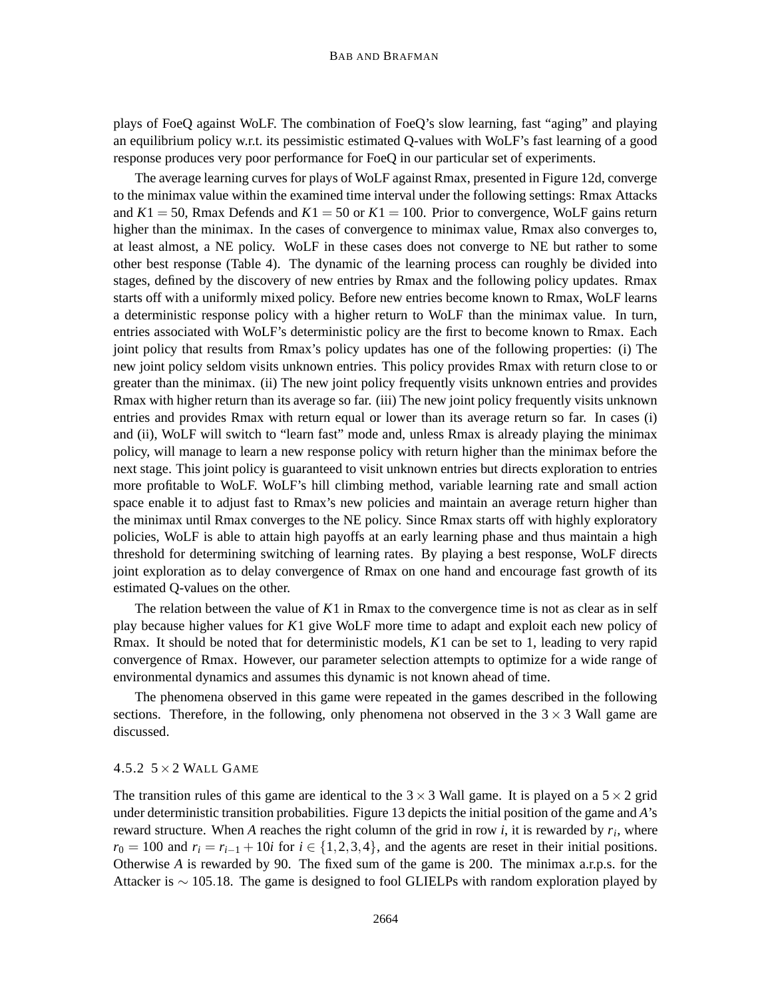plays of FoeQ against WoLF. The combination of FoeQ's slow learning, fast "aging" and playing an equilibrium policy w.r.t. its pessimistic estimated Q-values with WoLF's fast learning of a good response produces very poor performance for FoeQ in our particular set of experiments.

The average learning curves for plays of WoLF against Rmax, presented in Figure 12d, converge to the minimax value within the examined time interval under the following settings: Rmax Attacks and  $K1 = 50$ , Rmax Defends and  $K1 = 50$  or  $K1 = 100$ . Prior to convergence, WoLF gains return higher than the minimax. In the cases of convergence to minimax value, Rmax also converges to, at least almost, a NE policy. WoLF in these cases does not converge to NE but rather to some other best response (Table 4). The dynamic of the learning process can roughly be divided into stages, defined by the discovery of new entries by Rmax and the following policy updates. Rmax starts off with a uniformly mixed policy. Before new entries become known to Rmax, WoLF learns a deterministic response policy with a higher return to WoLF than the minimax value. In turn, entries associated with WoLF's deterministic policy are the first to become known to Rmax. Each joint policy that results from Rmax's policy updates has one of the following properties: (i) The new joint policy seldom visits unknown entries. This policy provides Rmax with return close to or greater than the minimax. (ii) The new joint policy frequently visits unknown entries and provides Rmax with higher return than its average so far. (iii) The new joint policy frequently visits unknown entries and provides Rmax with return equal or lower than its average return so far. In cases (i) and (ii), WoLF will switch to "learn fast" mode and, unless Rmax is already playing the minimax policy, will manage to learn a new response policy with return higher than the minimax before the next stage. This joint policy is guaranteed to visit unknown entries but directs exploration to entries more profitable to WoLF. WoLF's hill climbing method, variable learning rate and small action space enable it to adjust fast to Rmax's new policies and maintain an average return higher than the minimax until Rmax converges to the NE policy. Since Rmax starts off with highly exploratory policies, WoLF is able to attain high payoffs at an early learning phase and thus maintain a high threshold for determining switching of learning rates. By playing a best response, WoLF directs joint exploration as to delay convergence of Rmax on one hand and encourage fast growth of its estimated Q-values on the other.

The relation between the value of *K*1 in Rmax to the convergence time is not as clear as in self play because higher values for *K*1 give WoLF more time to adapt and exploit each new policy of Rmax. It should be noted that for deterministic models, *K*1 can be set to 1, leading to very rapid convergence of Rmax. However, our parameter selection attempts to optimize for a wide range of environmental dynamics and assumes this dynamic is not known ahead of time.

The phenomena observed in this game were repeated in the games described in the following sections. Therefore, in the following, only phenomena not observed in the  $3 \times 3$  Wall game are discussed.

## 4.5.2  $5 \times 2$  WALL GAME

The transition rules of this game are identical to the  $3 \times 3$  Wall game. It is played on a  $5 \times 2$  grid under deterministic transition probabilities. Figure 13 depicts the initial position of the game and *A*'s reward structure. When *A* reaches the right column of the grid in row *i*, it is rewarded by *r<sup>i</sup>* , where  $r_0 = 100$  and  $r_i = r_{i-1} + 10i$  for  $i \in \{1, 2, 3, 4\}$ , and the agents are reset in their initial positions. Otherwise *A* is rewarded by 90. The fixed sum of the game is 200. The minimax a.r.p.s. for the Attacker is  $\sim$  105.18. The game is designed to fool GLIELPs with random exploration played by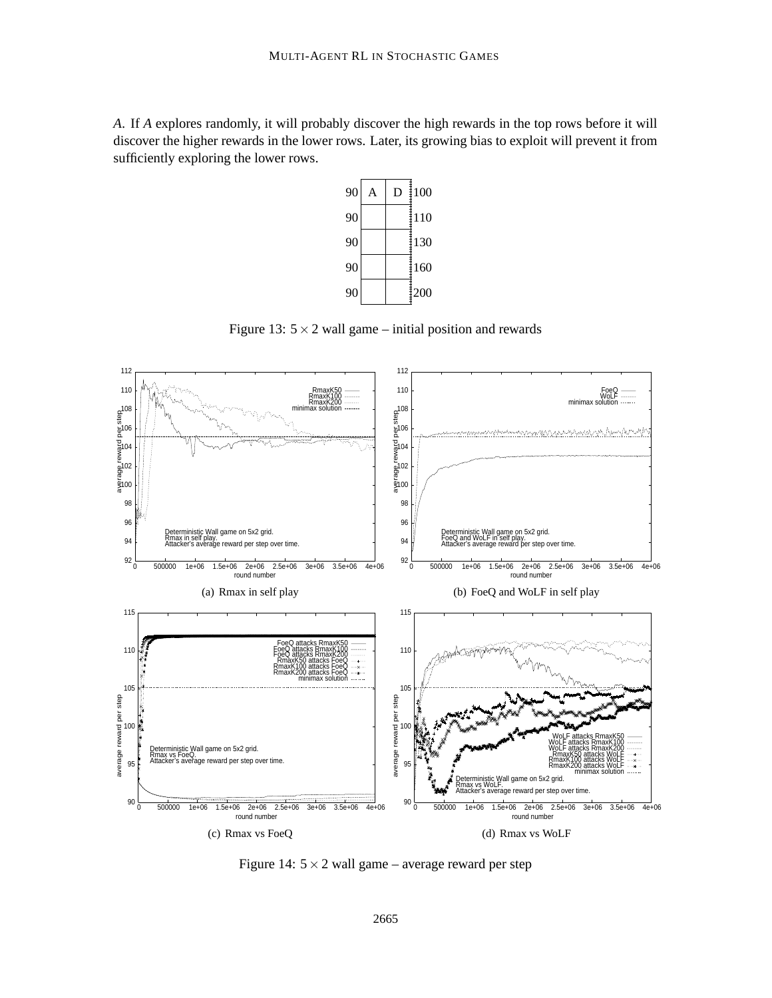*A*. If *A* explores randomly, it will probably discover the high rewards in the top rows before it will discover the higher rewards in the lower rows. Later, its growing bias to exploit will prevent it from sufficiently exploring the lower rows.



Figure 13:  $5 \times 2$  wall game – initial position and rewards



Figure 14:  $5 \times 2$  wall game – average reward per step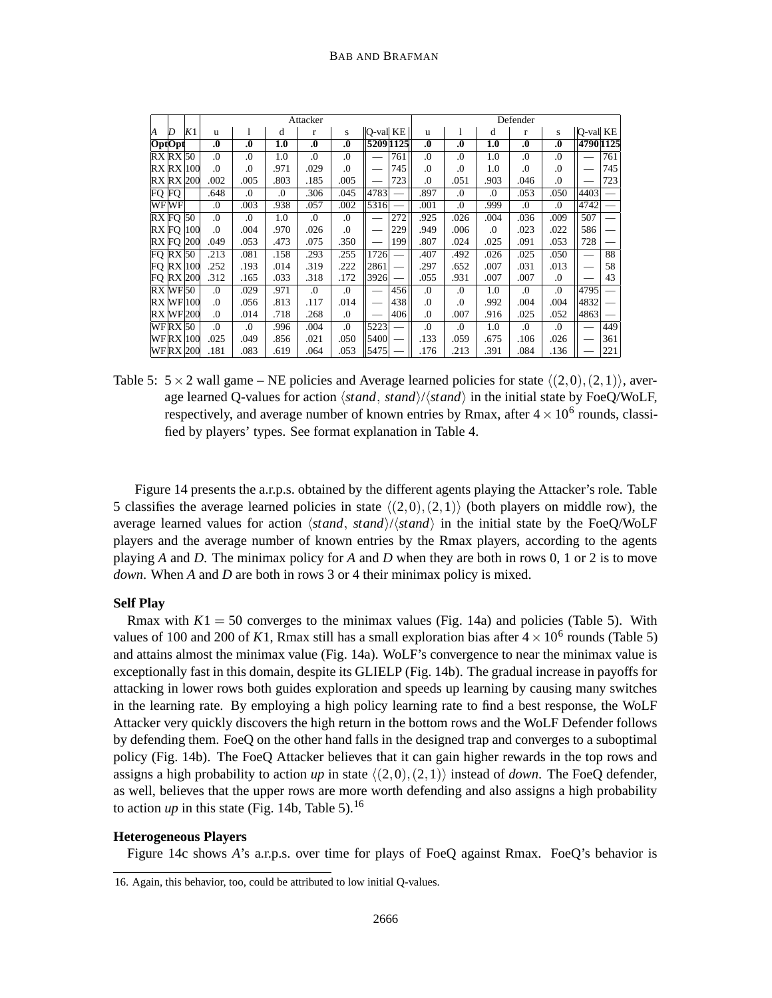|   |                |                  |                  |                  |          | Attacker         |                  |                 |           |                  |                  |          | Defender         |                  |           |     |
|---|----------------|------------------|------------------|------------------|----------|------------------|------------------|-----------------|-----------|------------------|------------------|----------|------------------|------------------|-----------|-----|
| И | D              | K1               | u                | 1                | d        | r                | s                | <b>O-val</b> KE |           | u                | 1                | d        | r                | S                | Q-val KE  |     |
|   | OptOpt         |                  | $\boldsymbol{0}$ | $\boldsymbol{0}$ | 1.0      | $\boldsymbol{0}$ | $\boldsymbol{0}$ |                 | 5209 1125 | $\boldsymbol{0}$ | $\boldsymbol{0}$ | 1.0      | $\boldsymbol{0}$ | $\boldsymbol{0}$ | 4790 1125 |     |
|   | $RX$ $RX$ $50$ |                  | .0               | .0               | 1.0      | .0               | .0               |                 | 761       | .0               | .0               | 1.0      | $\Omega$         | $\Omega$ .       |           | 761 |
|   |                | $RX$ $RX$ $100$  | .0               | .0               | .971     | .029             | $\cdot$          |                 | 745       | .0               | .0               | 1.0      | $\cdot$          | $\cdot$          |           | 745 |
|   |                | <b>RX RX 200</b> | .002             | .005             | .803     | .185             | .005             |                 | 723       | .0               | .051             | .903     | .046             | $\cdot$          |           | 723 |
|   | FQ FQ          |                  | .648             | .0               | $\Omega$ | .306             | .045             | 4783            |           | .897             | .0               | .0       | .053             | .050             | 4403      |     |
|   | WFWF           |                  | .0               | .003             | .938     | .057             | .002             | 5316            |           | .001             | .0               | .999     | $\Omega$ .       | $\Omega$ .       | 4742      |     |
|   | $RX$ FO $50$   |                  | .0               | .0               | 1.0      | $\Omega$ .       | .0               |                 | 272       | .925             | .026             | .004     | .036             | .009             | 507       |     |
|   |                | <b>RX FO 100</b> | .0               | .004             | .970     | .026             | .0               |                 | 229       | .949             | .006             | $\Omega$ | .023             | .022             | 586       |     |
|   |                | <b>RX FO 200</b> | .049             | .053             | .473     | .075             | .350             |                 | 199       | .807             | .024             | .025     | .091             | .053             | 728       |     |
|   | $FO$ RX $50$   |                  | .213             | .081             | .158     | .293             | .255             | 1726            |           | .407             | .492             | .026     | .025             | .050             |           | 88  |
|   |                | $FQ$ RX 100      | .252             | .193             | .014     | .319             | .222             | 2861            |           | .297             | .652             | .007     | .031             | .013             |           | 58  |
|   |                | <b>FO RX 200</b> | .312             | .165             | .033     | .318             | .172             | 3926            |           | .055             | .931             | .007     | .007             | $\Omega$ .       |           | 43  |
|   | RXWF50         |                  | $\Omega$ .       | .029             | .971     | $\Omega$ .       | .0               |                 | 456       | .0               | .0               | 1.0      | $\Omega$         | $\Omega$ .       | 4795      |     |
|   |                | $RX$ WF $100$    | .0               | .056             | .813     | .117             | .014             |                 | 438       | .0               | .0               | .992     | .004             | .004             | 4832      |     |
|   |                | <b>RX WF 200</b> | $\Omega$ .       | .014             | .718     | .268             | .0               |                 | 406       | .0               | .007             | .916     | .025             | .052             | 4863      |     |
|   | <b>WFRX 50</b> |                  | $\Omega$ .       | $\Omega$ .       | .996     | .004             | .0               | 5223            |           | .0               | .0               | 1.0      | $\Omega$         | $\Omega$ .       |           | 449 |
|   |                | <b>WFRX</b> 100  | .025             | .049             | .856     | .021             | .050             | 5400            |           | .133             | .059             | .675     | .106             | .026             |           | 361 |
|   |                | WFRX 200         | .181             | .083             | .619     | .064             | .053             | 5475            |           | .176             | .213             | .391     | .084             | .136             |           | 221 |

Table 5:  $5 \times 2$  wall game – NE policies and Average learned policies for state  $\langle (2,0),(2,1) \rangle$ , average learned Q-values for action  $\langle stand, stand \rangle$  in the initial state by FoeQ/WoLF, respectively, and average number of known entries by Rmax, after  $4 \times 10^6$  rounds, classified by players' types. See format explanation in Table 4.

Figure 14 presents the a.r.p.s. obtained by the different agents playing the Attacker's role. Table 5 classifies the average learned policies in state  $\langle (2,0),(2,1) \rangle$  (both players on middle row), the average learned values for action *(stand, stand)/(stand)* in the initial state by the FoeQ/WoLF players and the average number of known entries by the Rmax players, according to the agents playing *A* and *D*. The minimax policy for *A* and *D* when they are both in rows 0, 1 or 2 is to move *down*. When *A* and *D* are both in rows 3 or 4 their minimax policy is mixed.

## **Self Play**

Rmax with  $K1 = 50$  converges to the minimax values (Fig. 14a) and policies (Table 5). With values of 100 and 200 of K1, Rmax still has a small exploration bias after  $4 \times 10^6$  rounds (Table 5) and attains almost the minimax value (Fig. 14a). WoLF's convergence to near the minimax value is exceptionally fast in this domain, despite its GLIELP (Fig. 14b). The gradual increase in payoffs for attacking in lower rows both guides exploration and speeds up learning by causing many switches in the learning rate. By employing a high policy learning rate to find a best response, the WoLF Attacker very quickly discovers the high return in the bottom rows and the WoLF Defender follows by defending them. FoeQ on the other hand falls in the designed trap and converges to a suboptimal policy (Fig. 14b). The FoeQ Attacker believes that it can gain higher rewards in the top rows and assigns a high probability to action *up* in state  $\langle (2,0),(2,1) \rangle$  instead of *down*. The FoeQ defender, as well, believes that the upper rows are more worth defending and also assigns a high probability to action  $up$  in this state (Fig. 14b, Table 5).<sup>16</sup>

#### **Heterogeneous Players**

Figure 14c shows *A*'s a.r.p.s. over time for plays of FoeQ against Rmax. FoeQ's behavior is

<sup>16.</sup> Again, this behavior, too, could be attributed to low initial Q-values.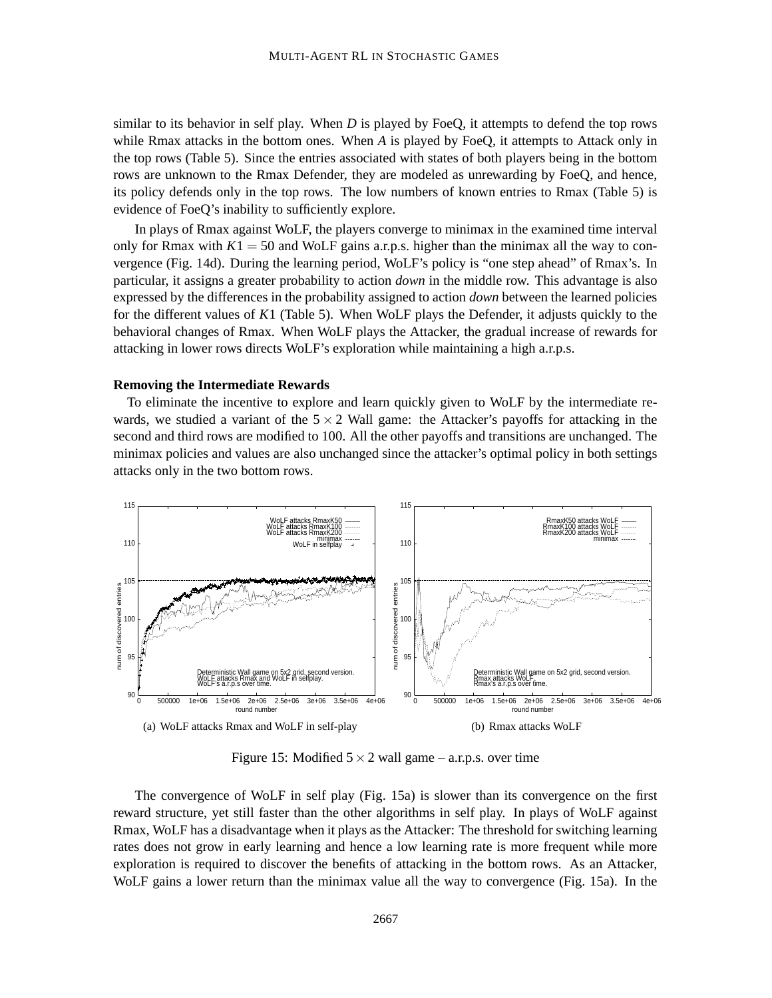similar to its behavior in self play. When *D* is played by FoeQ, it attempts to defend the top rows while Rmax attacks in the bottom ones. When *A* is played by FoeQ, it attempts to Attack only in the top rows (Table 5). Since the entries associated with states of both players being in the bottom rows are unknown to the Rmax Defender, they are modeled as unrewarding by FoeQ, and hence, its policy defends only in the top rows. The low numbers of known entries to Rmax (Table 5) is evidence of FoeQ's inability to sufficiently explore.

In plays of Rmax against WoLF, the players converge to minimax in the examined time interval only for Rmax with  $K1 = 50$  and WoLF gains a.r.p.s. higher than the minimax all the way to convergence (Fig. 14d). During the learning period, WoLF's policy is "one step ahead" of Rmax's. In particular, it assigns a greater probability to action *down* in the middle row. This advantage is also expressed by the differences in the probability assigned to action *down* between the learned policies for the different values of *K*1 (Table 5). When WoLF plays the Defender, it adjusts quickly to the behavioral changes of Rmax. When WoLF plays the Attacker, the gradual increase of rewards for attacking in lower rows directs WoLF's exploration while maintaining a high a.r.p.s.

#### **Removing the Intermediate Rewards**

To eliminate the incentive to explore and learn quickly given to WoLF by the intermediate rewards, we studied a variant of the  $5 \times 2$  Wall game: the Attacker's payoffs for attacking in the second and third rows are modified to 100. All the other payoffs and transitions are unchanged. The minimax policies and values are also unchanged since the attacker's optimal policy in both settings attacks only in the two bottom rows.



Figure 15: Modified  $5 \times 2$  wall game – a.r.p.s. over time

The convergence of WoLF in self play (Fig. 15a) is slower than its convergence on the first reward structure, yet still faster than the other algorithms in self play. In plays of WoLF against Rmax, WoLF has a disadvantage when it plays as the Attacker: The threshold for switching learning rates does not grow in early learning and hence a low learning rate is more frequent while more exploration is required to discover the benefits of attacking in the bottom rows. As an Attacker, WoLF gains a lower return than the minimax value all the way to convergence (Fig. 15a). In the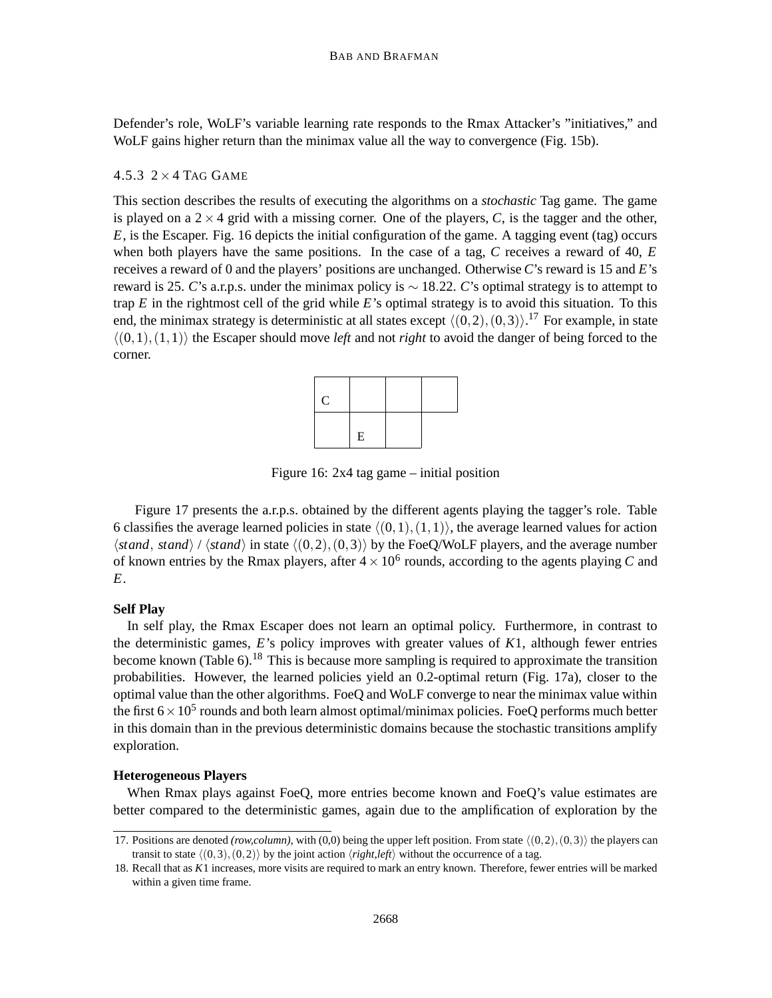Defender's role, WoLF's variable learning rate responds to the Rmax Attacker's "initiatives," and WoLF gains higher return than the minimax value all the way to convergence (Fig. 15b).

## $4.5.3$   $2 \times 4$  Tag GAME

This section describes the results of executing the algorithms on a *stochastic* Tag game. The game is played on a  $2 \times 4$  grid with a missing corner. One of the players, C, is the tagger and the other, *E*, is the Escaper. Fig. 16 depicts the initial configuration of the game. A tagging event (tag) occurs when both players have the same positions. In the case of a tag, *C* receives a reward of 40, *E* receives a reward of 0 and the players' positions are unchanged. Otherwise *C*'s reward is 15 and *E*'s reward is 25. *C*'s a.r.p.s. under the minimax policy is ∼ 18.22. *C*'s optimal strategy is to attempt to trap *E* in the rightmost cell of the grid while *E*'s optimal strategy is to avoid this situation. To this end, the minimax strategy is deterministic at all states except  $\langle (0,2), (0,3) \rangle$ .<sup>17</sup> For example, in state  $\langle (0,1),(1,1) \rangle$  the Escaper should move *left* and not *right* to avoid the danger of being forced to the corner.



Figure 16: 2x4 tag game – initial position

Figure 17 presents the a.r.p.s. obtained by the different agents playing the tagger's role. Table 6 classifies the average learned policies in state  $\langle (0,1),(1,1)\rangle$ , the average learned values for action  $\langle$ *stand*, *stand* $\rangle$  /  $\langle$ *stand* $\rangle$  in state  $\langle$ (0,2),(0,3) $\rangle$  by the FoeQ/WoLF players, and the average number of known entries by the Rmax players, after  $4 \times 10^6$  rounds, according to the agents playing C and *E*.

## **Self Play**

In self play, the Rmax Escaper does not learn an optimal policy. Furthermore, in contrast to the deterministic games, *E*'s policy improves with greater values of *K*1, although fewer entries become known (Table 6).<sup>18</sup> This is because more sampling is required to approximate the transition probabilities. However, the learned policies yield an 0.2-optimal return (Fig. 17a), closer to the optimal value than the other algorithms. FoeQ and WoLF converge to near the minimax value within the first  $6 \times 10^5$  rounds and both learn almost optimal/minimax policies. FoeQ performs much better in this domain than in the previous deterministic domains because the stochastic transitions amplify exploration.

## **Heterogeneous Players**

When Rmax plays against FoeQ, more entries become known and FoeQ's value estimates are better compared to the deterministic games, again due to the amplification of exploration by the

<sup>17.</sup> Positions are denoted *(row,column)*, with (0,0) being the upper left position. From state  $\langle (0,2), (0,3) \rangle$  the players can transit to state  $\langle (0,3), (0,2) \rangle$  by the joint action  $\langle right, left \rangle$  without the occurrence of a tag.

<sup>18.</sup> Recall that as *K*1 increases, more visits are required to mark an entry known. Therefore, fewer entries will be marked within a given time frame.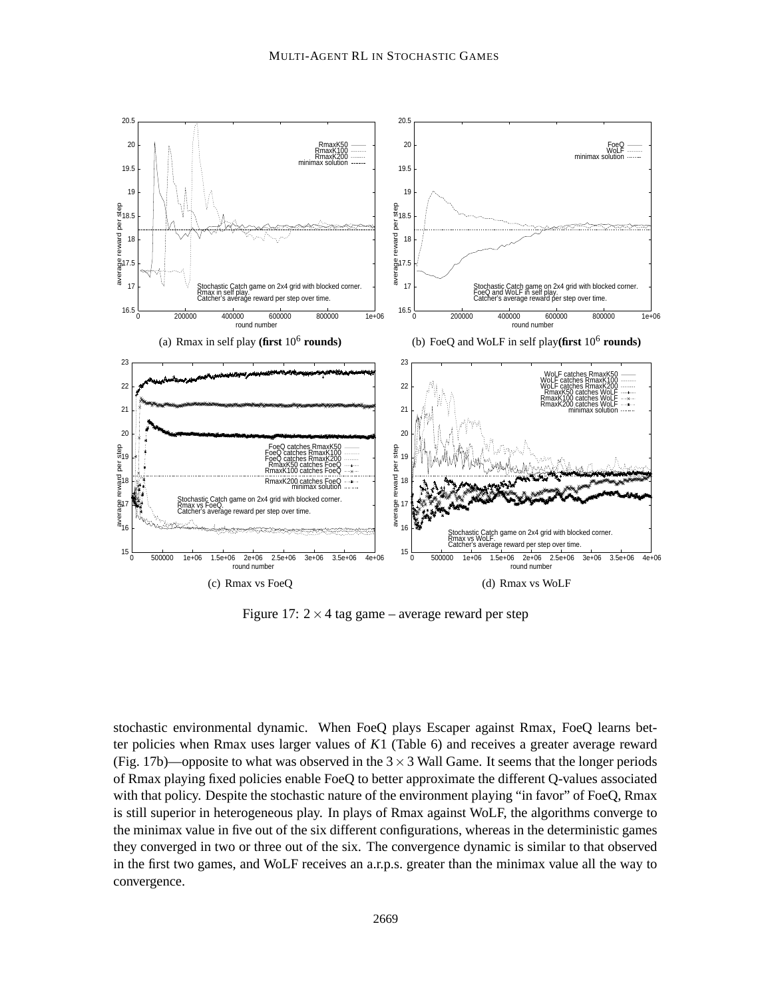

Figure 17:  $2 \times 4$  tag game – average reward per step

stochastic environmental dynamic. When FoeQ plays Escaper against Rmax, FoeQ learns better policies when Rmax uses larger values of *K*1 (Table 6) and receives a greater average reward (Fig. 17b)—opposite to what was observed in the  $3 \times 3$  Wall Game. It seems that the longer periods of Rmax playing fixed policies enable FoeQ to better approximate the different Q-values associated with that policy. Despite the stochastic nature of the environment playing "in favor" of FoeQ, Rmax is still superior in heterogeneous play. In plays of Rmax against WoLF, the algorithms converge to the minimax value in five out of the six different configurations, whereas in the deterministic games they converged in two or three out of the six. The convergence dynamic is similar to that observed in the first two games, and WoLF receives an a.r.p.s. greater than the minimax value all the way to convergence.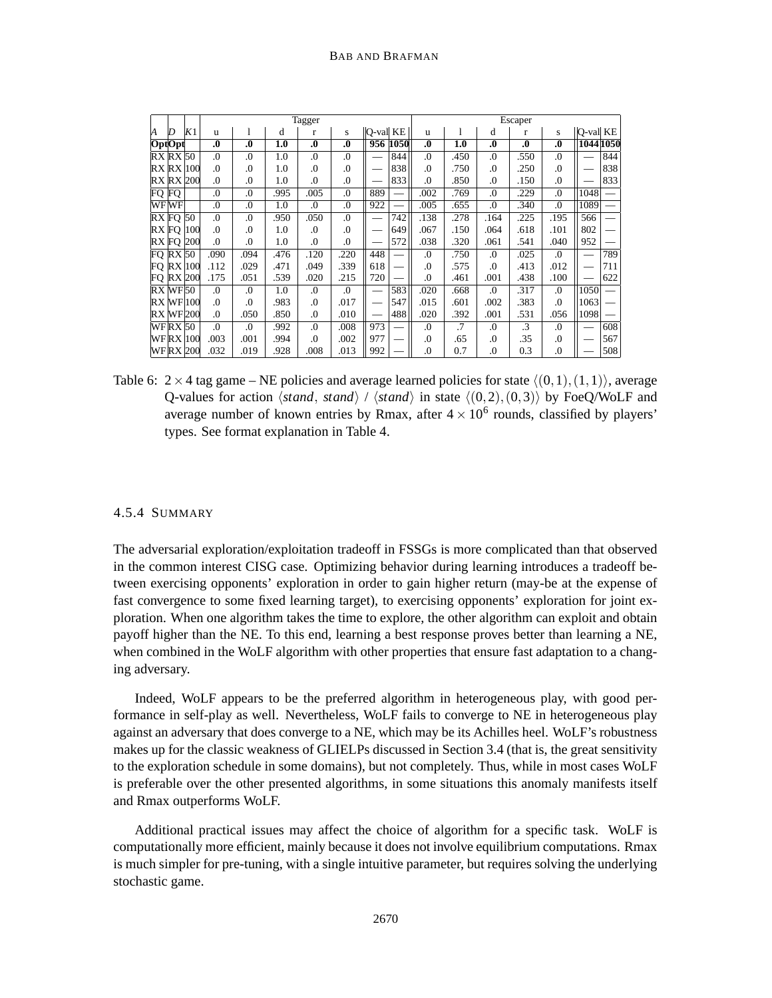|       |                |                  |                  |          |      | Tagger           |                  |                |                          |                  |      |                  | Escaper          |                  |           |     |
|-------|----------------|------------------|------------------|----------|------|------------------|------------------|----------------|--------------------------|------------------|------|------------------|------------------|------------------|-----------|-----|
| И     | D              | K1               | u                |          | d    | $\mathbf{r}$     | S                | $ Q$ -val $KE$ |                          | u                | 1    | d                | r                | S                | Q-val KE  |     |
|       | OptOpt         |                  | $\boldsymbol{0}$ | $\bf{0}$ | 1.0  | $\boldsymbol{0}$ | $\boldsymbol{0}$ |                | 956 1050                 | $\boldsymbol{0}$ | 1.0  | $\boldsymbol{0}$ | $\boldsymbol{0}$ | $\boldsymbol{0}$ | 1044 1050 |     |
|       | $RX$ $RX$ $50$ |                  | .0               | .0       | 1.0  | .0               | .0               |                | 844                      | .0               | .450 | .0               | 550              | $\Omega$ .       |           | 844 |
|       |                | <b>RX RX 100</b> | $\Omega$         | .0       | 1.0  | 0.               | .0               |                | 838                      | .0               | .750 | .0               | 250              | $\Omega$ .       |           | 838 |
|       |                | <b>RX RX 200</b> | $\Omega$         | .0       | 1.0  | .0               | .0               |                | 833                      | .0               | 850  | .0               | .150             | $\Omega$ .       |           | 833 |
| FQ FQ |                |                  | $\Omega$         | .0       | .995 | .005             | .0               | 889            | $\overline{\phantom{0}}$ | .002             | .769 | .0               | 229              | $\Omega$ .       | 1048      |     |
|       | WF WF          |                  | .0               | .0       | 1.0  | 0.               | .0               | 922            |                          | .005             | .655 | .0               | 340              | $\Omega$ .       | 1089      |     |
|       | $RX$ FQ $50$   |                  | .0               | .0       | .950 | .050             | .0               |                | 742                      | .138             | .278 | .164             | 225              | .195             | 566       |     |
|       | RX FO          | 100              | .0               | .0       | 1.0  | .0               | .0               |                | 649                      | .067             | .150 | .064             | .618             | .101             | 802       |     |
|       |                | <b>RX FO 200</b> | .0               | .0       | 1.0  | $\Omega$ .       | .0               |                | 572                      | .038             | .320 | .061             | .541             | .040             | 952       |     |
|       | $FQ$ RX $50$   |                  | .090             | .094     | .476 | .120             | .220             | 448            |                          | .0               | .750 | .0               | .025             | $\Omega$ .       |           | 789 |
|       |                | $FQ$ RX $100$    | .112             | .029     | .471 | .049             | .339             | 618            |                          | .0               | .575 | .0               | .413             | .012             |           | 711 |
|       |                | <b>FO RX 200</b> | .175             | .051     | .539 | .020             | .215             | 720            |                          | .0               | .461 | .001             | .438             | .100             |           | 622 |
|       | $RX$ WF $50$   |                  | .0               | .0       | 1.0  | .0               | .0               |                | 583                      | .020             | .668 | .0               | .317             | $\Omega$ .       | 1050      |     |
|       |                | <b>RX WF 100</b> | $\Omega$         | .0       | .983 | .0               | .017             |                | 547                      | .015             | .601 | .002             | .383             | $\Omega$ .       | 1063      |     |
|       |                | <b>RX WF 200</b> | $\Omega$ .       | .050     | .850 | .0               | .010             |                | 488                      | .020             | .392 | .001             | .531             | .056             | 1098      |     |
|       | WF RX 50       |                  | .0               | .0       | .992 | .0               | .008             | 973            |                          | .0               | .7   | .0               | $\cdot$ 3        | $\Omega$ .       |           | 608 |
|       |                | WFRX  100        | .003             | .001     | .994 | 0.               | .002             | 977            |                          | $\boldsymbol{0}$ | .65  | .0               | .35              | $\cdot$          |           | 567 |
|       |                | WFRX 200         | .032             | .019     | .928 | .008             | .013             | 992            |                          | .0               | 0.7  | .0               | 0.3              | .0               |           | 508 |

Table 6:  $2 \times 4$  tag game – NE policies and average learned policies for state  $\langle (0,1),(1,1)\rangle$ , average Q-values for action  $\langle stand, stand \rangle$  /  $\langle stand \rangle$  in state  $\langle (0,2), (0,3) \rangle$  by FoeQ/WoLF and average number of known entries by Rmax, after  $4 \times 10^6$  rounds, classified by players' types. See format explanation in Table 4.

## 4.5.4 SUMMARY

The adversarial exploration/exploitation tradeoff in FSSGs is more complicated than that observed in the common interest CISG case. Optimizing behavior during learning introduces a tradeoff between exercising opponents' exploration in order to gain higher return (may-be at the expense of fast convergence to some fixed learning target), to exercising opponents' exploration for joint exploration. When one algorithm takes the time to explore, the other algorithm can exploit and obtain payoff higher than the NE. To this end, learning a best response proves better than learning a NE, when combined in the WoLF algorithm with other properties that ensure fast adaptation to a changing adversary.

Indeed, WoLF appears to be the preferred algorithm in heterogeneous play, with good performance in self-play as well. Nevertheless, WoLF fails to converge to NE in heterogeneous play against an adversary that does converge to a NE, which may be its Achilles heel. WoLF's robustness makes up for the classic weakness of GLIELPs discussed in Section 3.4 (that is, the great sensitivity to the exploration schedule in some domains), but not completely. Thus, while in most cases WoLF is preferable over the other presented algorithms, in some situations this anomaly manifests itself and Rmax outperforms WoLF.

Additional practical issues may affect the choice of algorithm for a specific task. WoLF is computationally more efficient, mainly because it does not involve equilibrium computations. Rmax is much simpler for pre-tuning, with a single intuitive parameter, but requires solving the underlying stochastic game.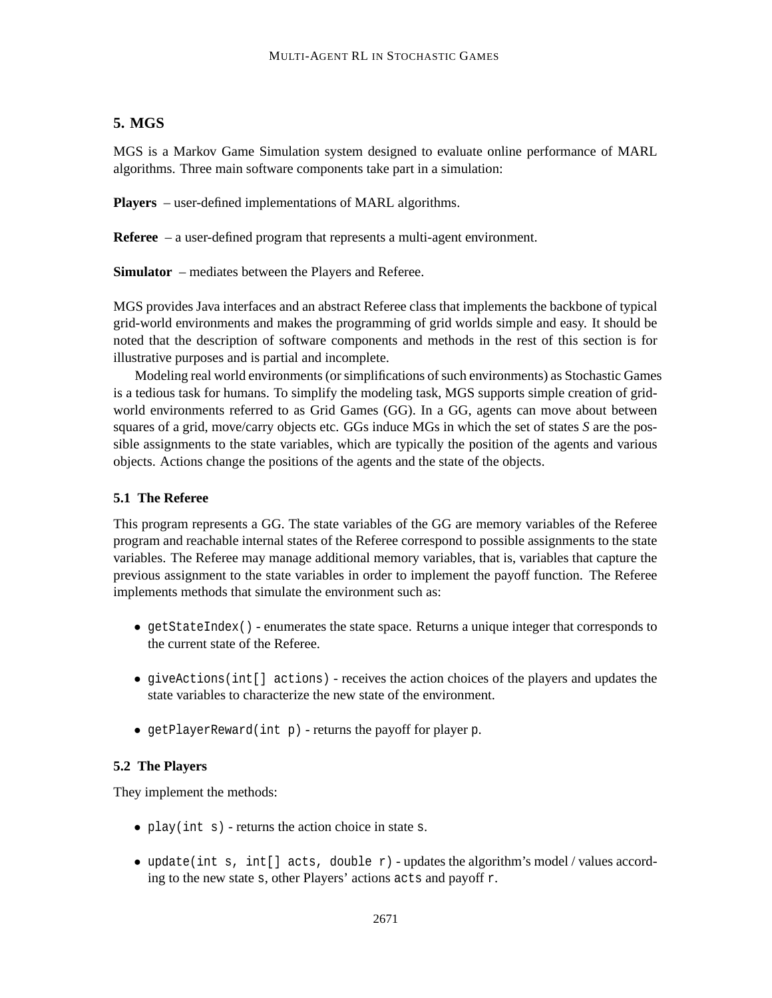## **5. MGS**

MGS is a Markov Game Simulation system designed to evaluate online performance of MARL algorithms. Three main software components take part in a simulation:

**Players** – user-defined implementations of MARL algorithms.

**Referee** – a user-defined program that represents a multi-agent environment.

**Simulator** – mediates between the Players and Referee.

MGS provides Java interfaces and an abstract Referee class that implements the backbone of typical grid-world environments and makes the programming of grid worlds simple and easy. It should be noted that the description of software components and methods in the rest of this section is for illustrative purposes and is partial and incomplete.

Modeling real world environments (or simplifications of such environments) as Stochastic Games is a tedious task for humans. To simplify the modeling task, MGS supports simple creation of gridworld environments referred to as Grid Games (GG). In a GG, agents can move about between squares of a grid, move/carry objects etc. GGs induce MGs in which the set of states *S* are the possible assignments to the state variables, which are typically the position of the agents and various objects. Actions change the positions of the agents and the state of the objects.

## **5.1 The Referee**

This program represents a GG. The state variables of the GG are memory variables of the Referee program and reachable internal states of the Referee correspond to possible assignments to the state variables. The Referee may manage additional memory variables, that is, variables that capture the previous assignment to the state variables in order to implement the payoff function. The Referee implements methods that simulate the environment such as:

- getStateIndex() enumerates the state space. Returns a unique integer that corresponds to the current state of the Referee.
- giveActions(int[] actions) receives the action choices of the players and updates the state variables to characterize the new state of the environment.
- getPlayerReward(int p) returns the payoff for player p.

## **5.2 The Players**

They implement the methods:

- play(int s) returns the action choice in state s.
- update(int s, int[] acts, double  $r$ ) updates the algorithm's model/values according to the new state s, other Players' actions acts and payoff r.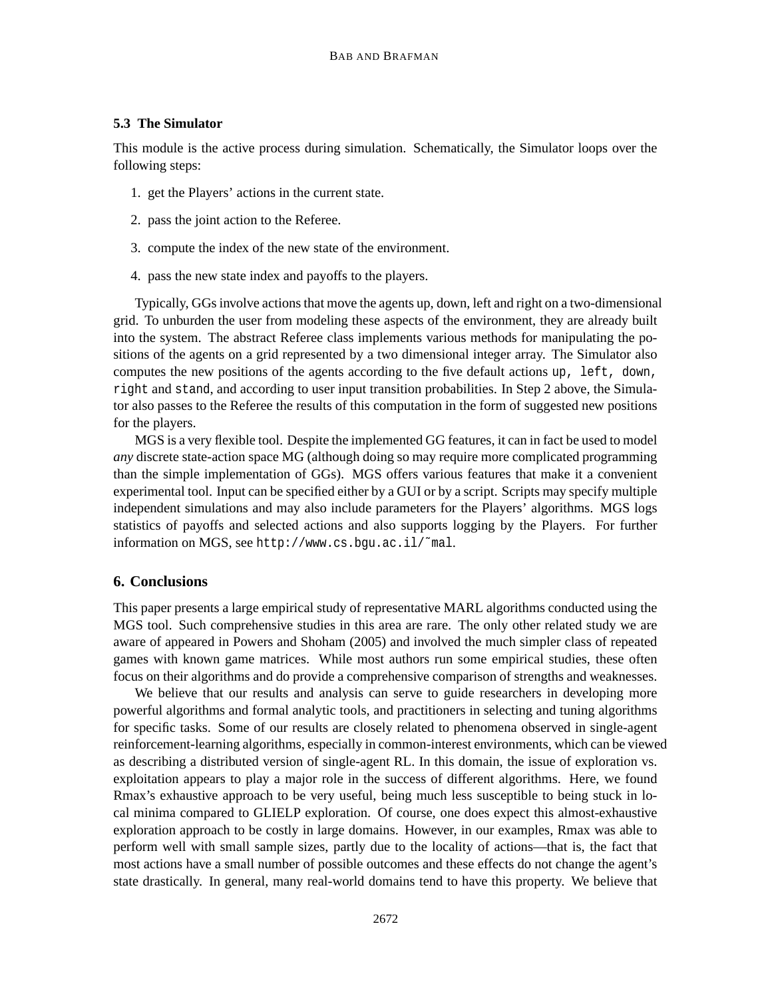## **5.3 The Simulator**

This module is the active process during simulation. Schematically, the Simulator loops over the following steps:

- 1. get the Players' actions in the current state.
- 2. pass the joint action to the Referee.
- 3. compute the index of the new state of the environment.
- 4. pass the new state index and payoffs to the players.

Typically, GGsinvolve actionsthat move the agents up, down, left and right on a two-dimensional grid. To unburden the user from modeling these aspects of the environment, they are already built into the system. The abstract Referee class implements various methods for manipulating the positions of the agents on a grid represented by a two dimensional integer array. The Simulator also computes the new positions of the agents according to the five default actions up, left, down, right and stand, and according to user input transition probabilities. In Step 2 above, the Simulator also passes to the Referee the results of this computation in the form of suggested new positions for the players.

MGS is a very flexible tool. Despite the implemented GG features, it can in fact be used to model *any* discrete state-action space MG (although doing so may require more complicated programming than the simple implementation of GGs). MGS offers various features that make it a convenient experimental tool. Input can be specified either by a GUI or by a script. Scripts may specify multiple independent simulations and may also include parameters for the Players' algorithms. MGS logs statistics of payoffs and selected actions and also supports logging by the Players. For further information on MGS, see http://www.cs.bgu.ac.il/˜mal.

## **6. Conclusions**

This paper presents a large empirical study of representative MARL algorithms conducted using the MGS tool. Such comprehensive studies in this area are rare. The only other related study we are aware of appeared in Powers and Shoham (2005) and involved the much simpler class of repeated games with known game matrices. While most authors run some empirical studies, these often focus on their algorithms and do provide a comprehensive comparison of strengths and weaknesses.

We believe that our results and analysis can serve to guide researchers in developing more powerful algorithms and formal analytic tools, and practitioners in selecting and tuning algorithms for specific tasks. Some of our results are closely related to phenomena observed in single-agent reinforcement-learning algorithms, especially in common-interest environments, which can be viewed as describing a distributed version of single-agent RL. In this domain, the issue of exploration vs. exploitation appears to play a major role in the success of different algorithms. Here, we found Rmax's exhaustive approach to be very useful, being much less susceptible to being stuck in local minima compared to GLIELP exploration. Of course, one does expect this almost-exhaustive exploration approach to be costly in large domains. However, in our examples, Rmax was able to perform well with small sample sizes, partly due to the locality of actions—that is, the fact that most actions have a small number of possible outcomes and these effects do not change the agent's state drastically. In general, many real-world domains tend to have this property. We believe that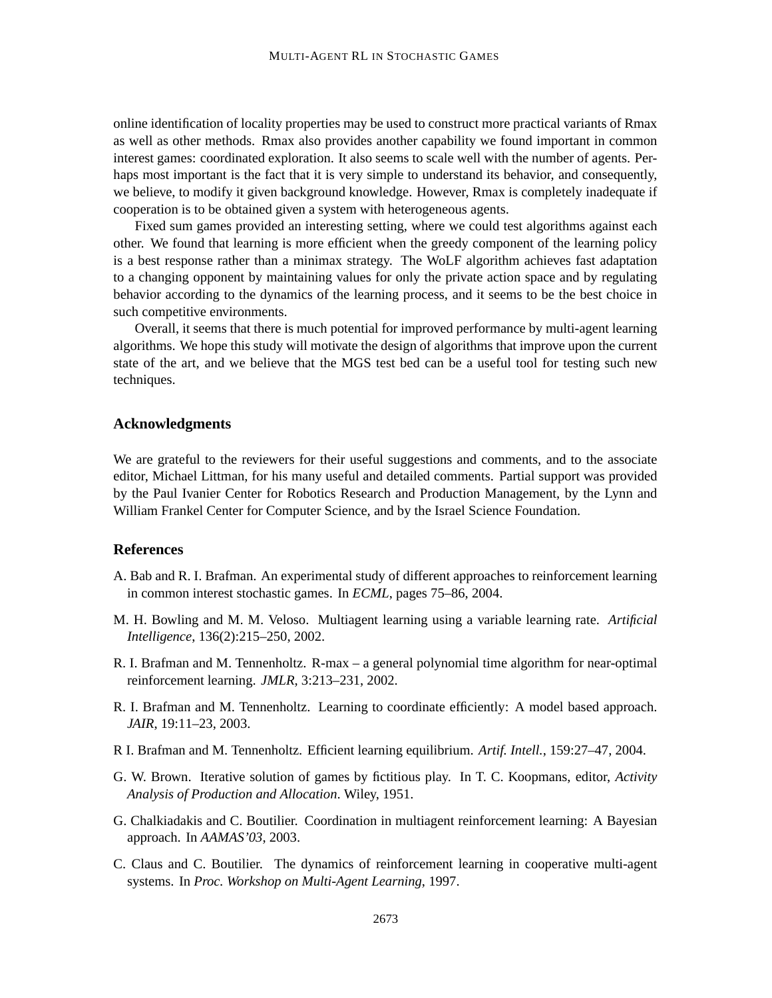online identification of locality properties may be used to construct more practical variants of Rmax as well as other methods. Rmax also provides another capability we found important in common interest games: coordinated exploration. It also seems to scale well with the number of agents. Perhaps most important is the fact that it is very simple to understand its behavior, and consequently, we believe, to modify it given background knowledge. However, Rmax is completely inadequate if cooperation is to be obtained given a system with heterogeneous agents.

Fixed sum games provided an interesting setting, where we could test algorithms against each other. We found that learning is more efficient when the greedy component of the learning policy is a best response rather than a minimax strategy. The WoLF algorithm achieves fast adaptation to a changing opponent by maintaining values for only the private action space and by regulating behavior according to the dynamics of the learning process, and it seems to be the best choice in such competitive environments.

Overall, it seems that there is much potential for improved performance by multi-agent learning algorithms. We hope this study will motivate the design of algorithms that improve upon the current state of the art, and we believe that the MGS test bed can be a useful tool for testing such new techniques.

## **Acknowledgments**

We are grateful to the reviewers for their useful suggestions and comments, and to the associate editor, Michael Littman, for his many useful and detailed comments. Partial support was provided by the Paul Ivanier Center for Robotics Research and Production Management, by the Lynn and William Frankel Center for Computer Science, and by the Israel Science Foundation.

## **References**

- A. Bab and R. I. Brafman. An experimental study of different approaches to reinforcement learning in common interest stochastic games. In *ECML*, pages 75–86, 2004.
- M. H. Bowling and M. M. Veloso. Multiagent learning using a variable learning rate. *Artificial Intelligence*, 136(2):215–250, 2002.
- R. I. Brafman and M. Tennenholtz. R-max a general polynomial time algorithm for near-optimal reinforcement learning. *JMLR*, 3:213–231, 2002.
- R. I. Brafman and M. Tennenholtz. Learning to coordinate efficiently: A model based approach. *JAIR*, 19:11–23, 2003.
- R I. Brafman and M. Tennenholtz. Efficient learning equilibrium. *Artif. Intell.*, 159:27–47, 2004.
- G. W. Brown. Iterative solution of games by fictitious play. In T. C. Koopmans, editor, *Activity Analysis of Production and Allocation*. Wiley, 1951.
- G. Chalkiadakis and C. Boutilier. Coordination in multiagent reinforcement learning: A Bayesian approach. In *AAMAS'03*, 2003.
- C. Claus and C. Boutilier. The dynamics of reinforcement learning in cooperative multi-agent systems. In *Proc. Workshop on Multi-Agent Learning*, 1997.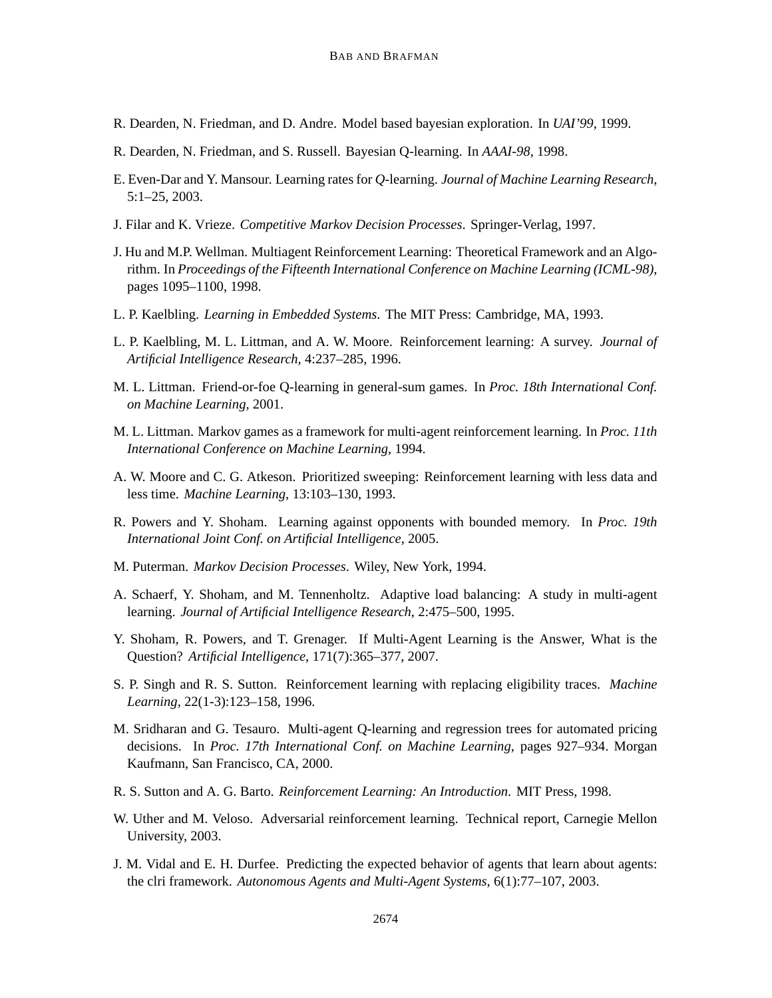- R. Dearden, N. Friedman, and D. Andre. Model based bayesian exploration. In *UAI'99*, 1999.
- R. Dearden, N. Friedman, and S. Russell. Bayesian Q-learning. In *AAAI-98*, 1998.
- E. Even-Dar and Y. Mansour. Learning rates for *Q*-learning. *Journal of Machine Learning Research*, 5:1–25, 2003.
- J. Filar and K. Vrieze. *Competitive Markov Decision Processes*. Springer-Verlag, 1997.
- J. Hu and M.P. Wellman. Multiagent Reinforcement Learning: Theoretical Framework and an Algorithm. In *Proceedings of the Fifteenth International Conference on Machine Learning (ICML-98)*, pages 1095–1100, 1998.
- L. P. Kaelbling. *Learning in Embedded Systems*. The MIT Press: Cambridge, MA, 1993.
- L. P. Kaelbling, M. L. Littman, and A. W. Moore. Reinforcement learning: A survey. *Journal of Artificial Intelligence Research*, 4:237–285, 1996.
- M. L. Littman. Friend-or-foe Q-learning in general-sum games. In *Proc. 18th International Conf. on Machine Learning*, 2001.
- M. L. Littman. Markov games as a framework for multi-agent reinforcement learning. In *Proc. 11th International Conference on Machine Learning*, 1994.
- A. W. Moore and C. G. Atkeson. Prioritized sweeping: Reinforcement learning with less data and less time. *Machine Learning*, 13:103–130, 1993.
- R. Powers and Y. Shoham. Learning against opponents with bounded memory. In *Proc. 19th International Joint Conf. on Artificial Intelligence*, 2005.
- M. Puterman. *Markov Decision Processes*. Wiley, New York, 1994.
- A. Schaerf, Y. Shoham, and M. Tennenholtz. Adaptive load balancing: A study in multi-agent learning. *Journal of Artificial Intelligence Research*, 2:475–500, 1995.
- Y. Shoham, R. Powers, and T. Grenager. If Multi-Agent Learning is the Answer, What is the Question? *Artificial Intelligence*, 171(7):365–377, 2007.
- S. P. Singh and R. S. Sutton. Reinforcement learning with replacing eligibility traces. *Machine Learning*, 22(1-3):123–158, 1996.
- M. Sridharan and G. Tesauro. Multi-agent Q-learning and regression trees for automated pricing decisions. In *Proc. 17th International Conf. on Machine Learning*, pages 927–934. Morgan Kaufmann, San Francisco, CA, 2000.
- R. S. Sutton and A. G. Barto. *Reinforcement Learning: An Introduction*. MIT Press, 1998.
- W. Uther and M. Veloso. Adversarial reinforcement learning. Technical report, Carnegie Mellon University, 2003.
- J. M. Vidal and E. H. Durfee. Predicting the expected behavior of agents that learn about agents: the clri framework. *Autonomous Agents and Multi-Agent Systems*, 6(1):77–107, 2003.